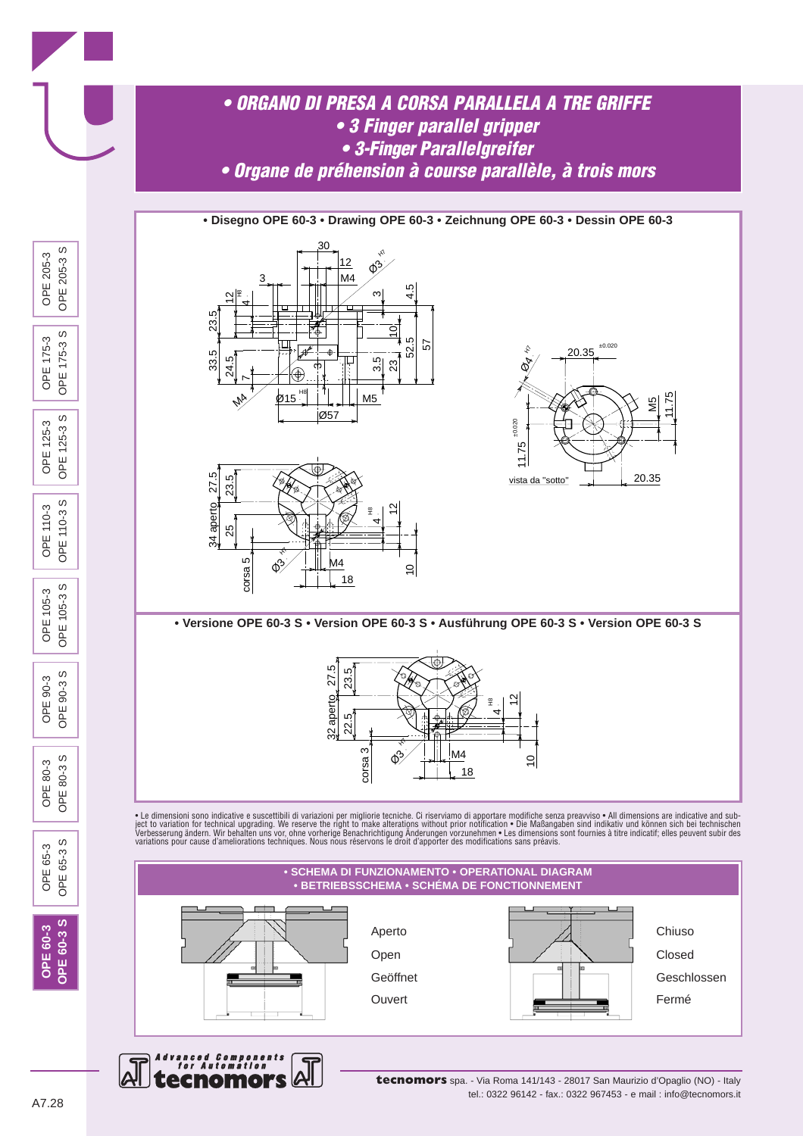

**tecnomors** spa. - Via Roma 141/143 - 28017 San Maurizio d'Opaglio (NO) - Italy tel.: 0322 96142 - fax.: 0322 967453 - e mail : info@tecnomors.it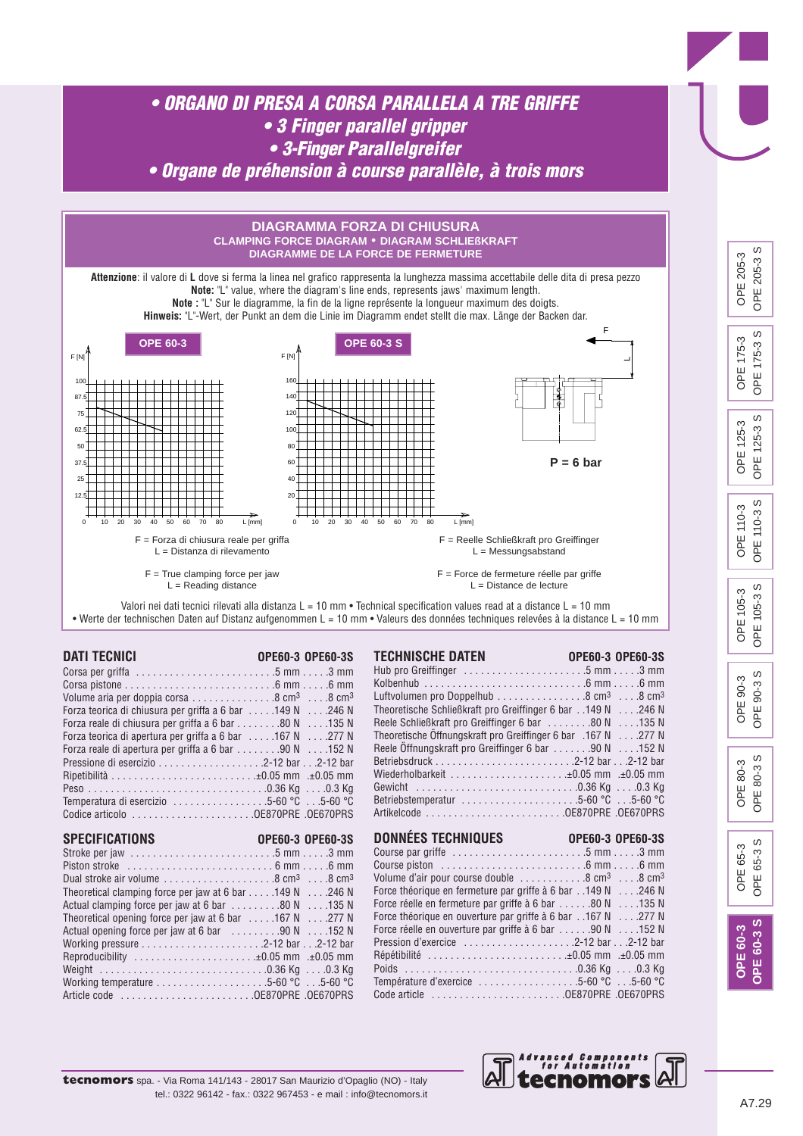

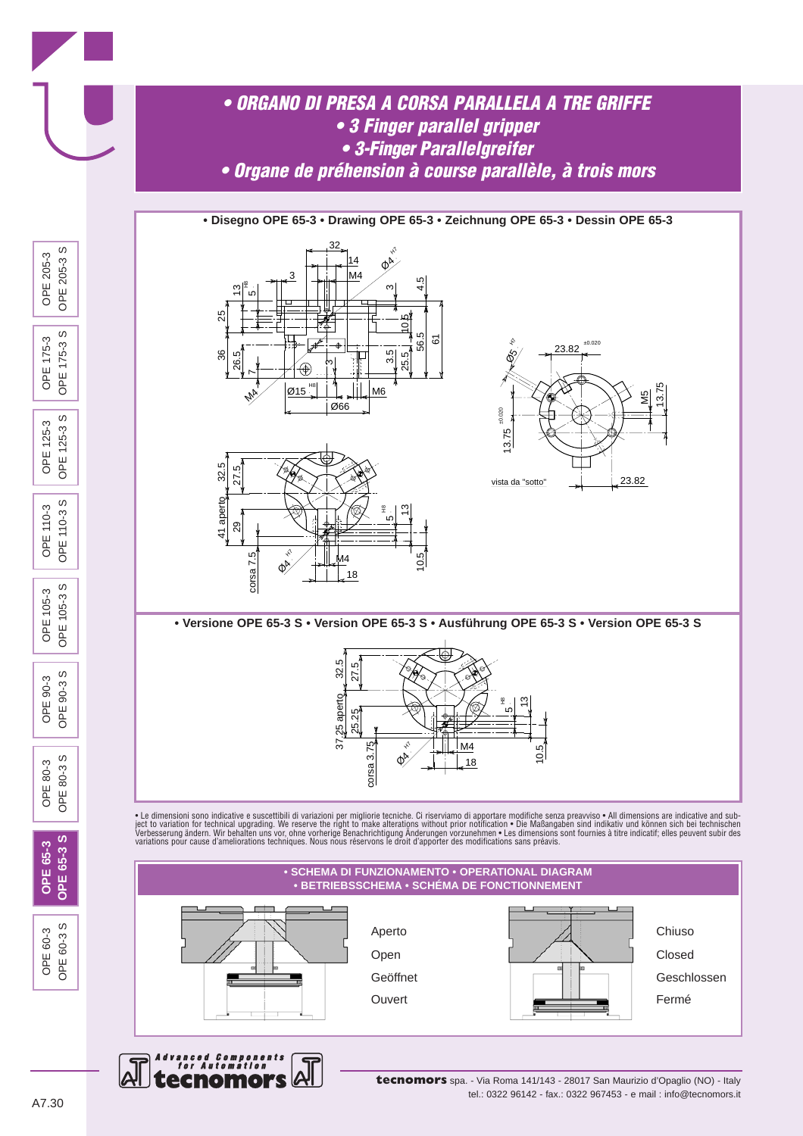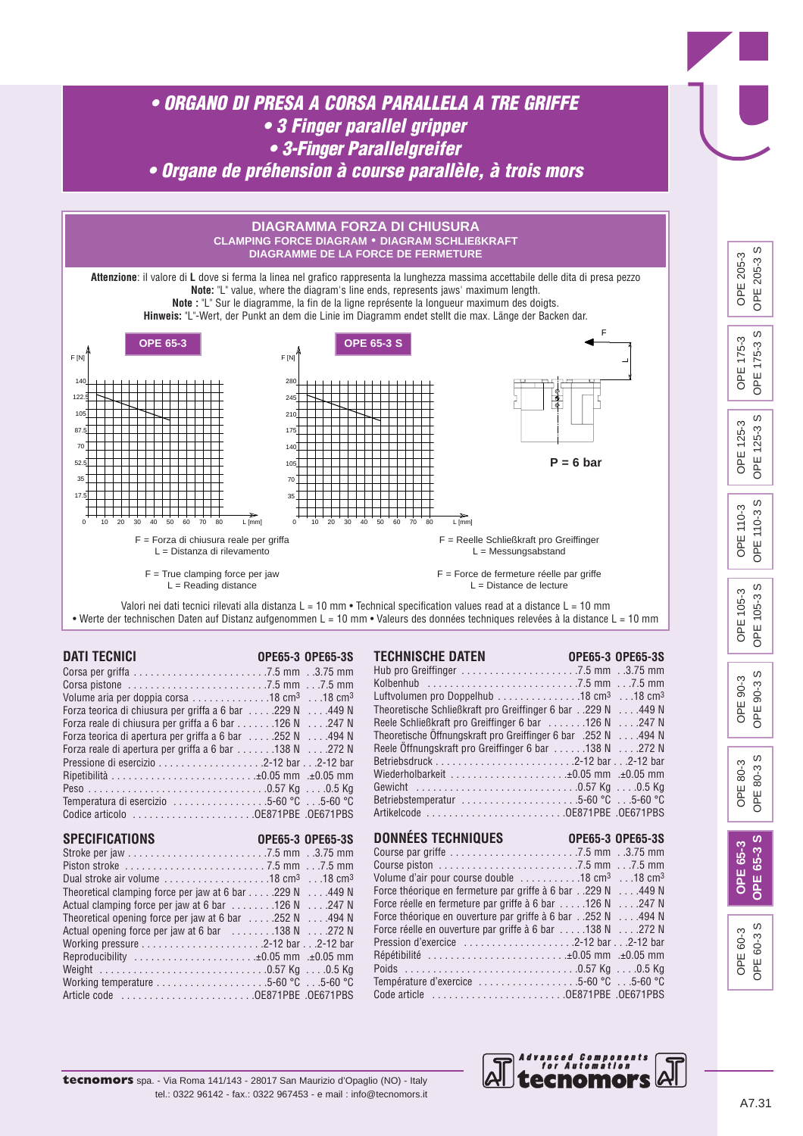

**tecnomors** spa. - Via Roma 141/143 - 28017 San Maurizio d'Opaglio (NO) - Italy tel.: 0322 96142 - fax.: 0322 967453 - e mail : info@tecnomors.it *Advanced Components for Automation*

ecnomol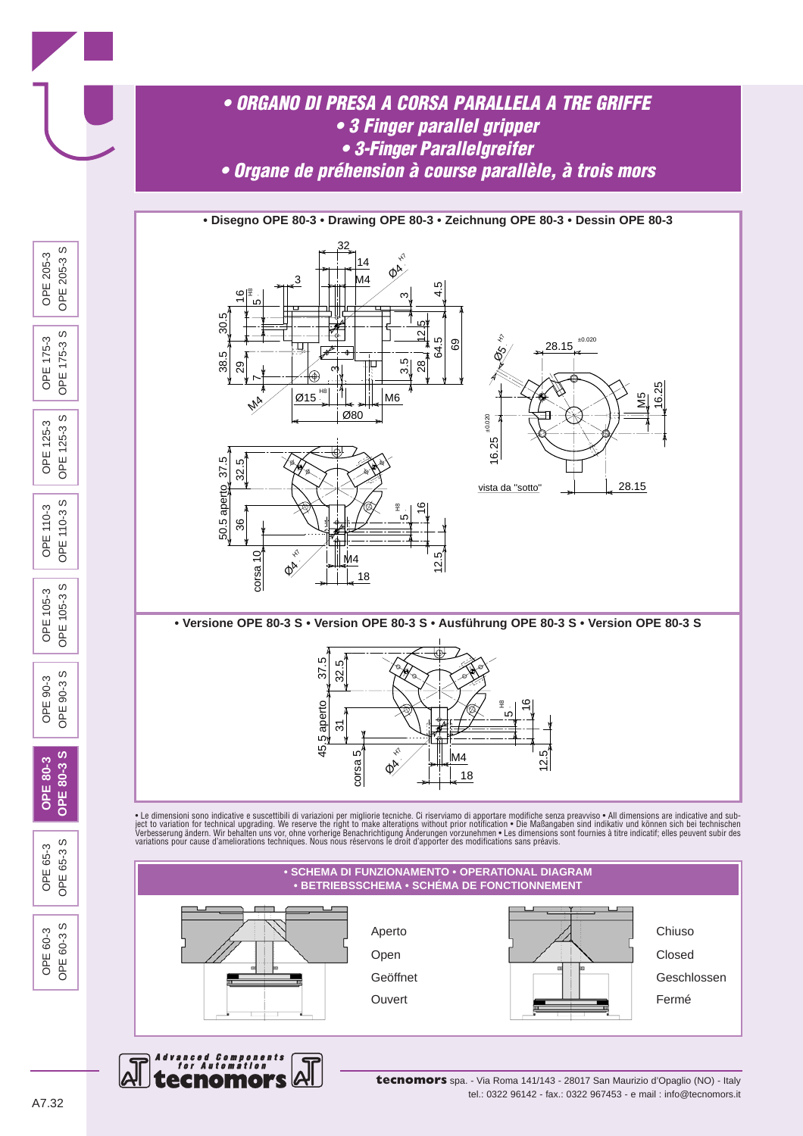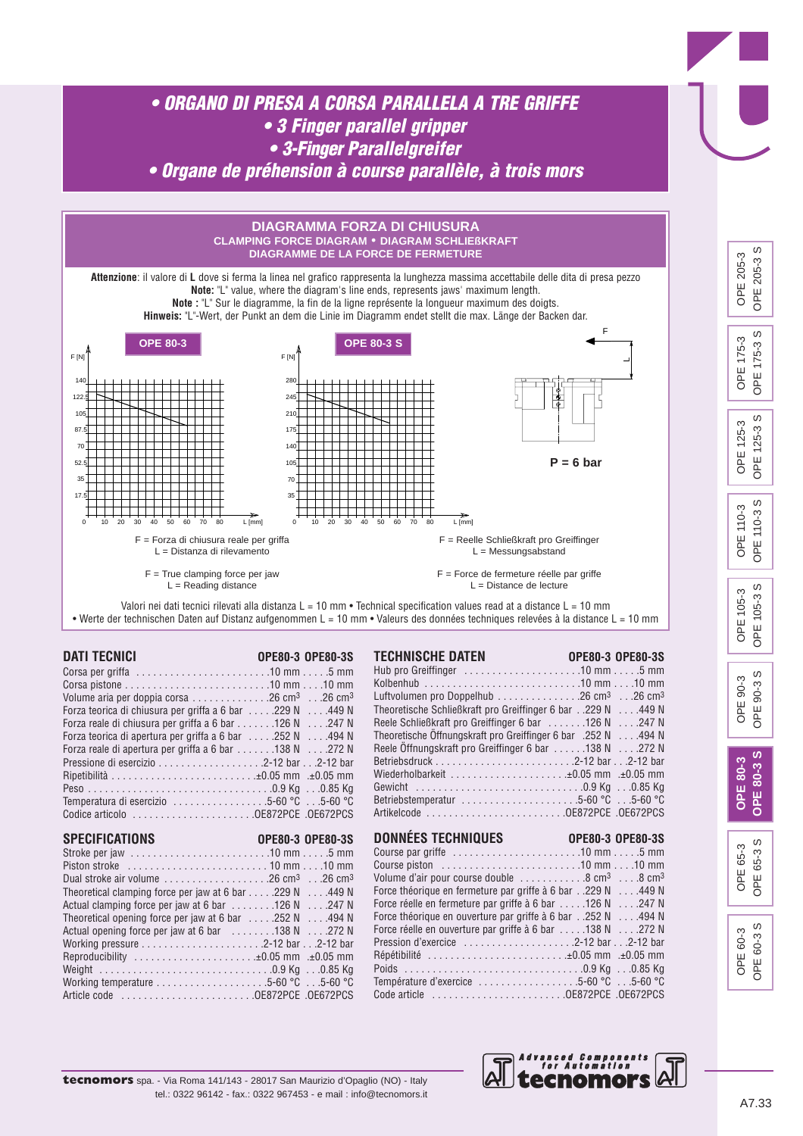

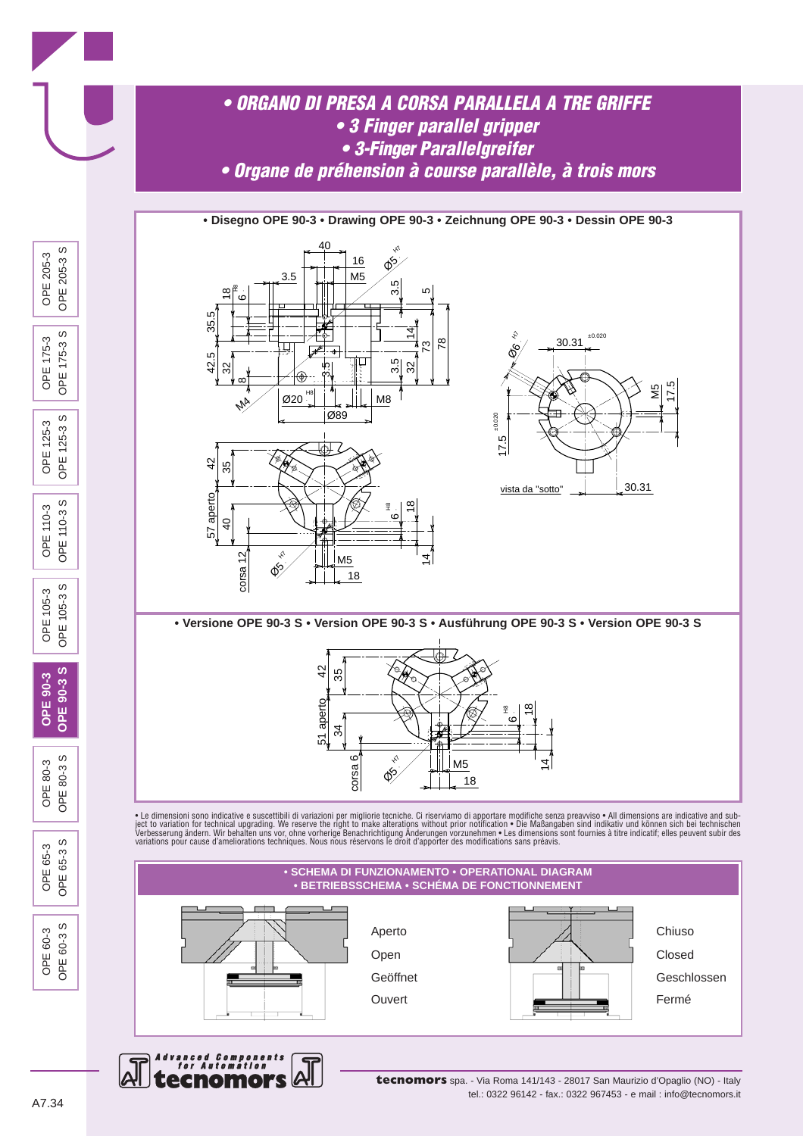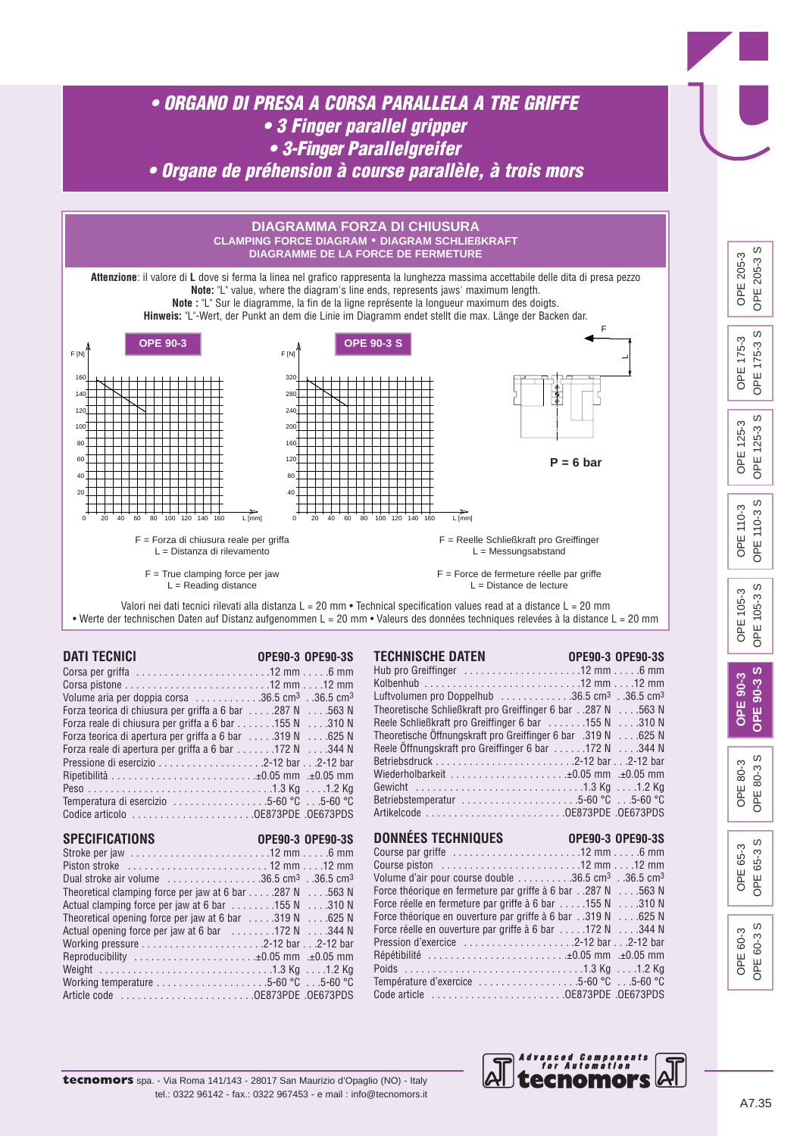

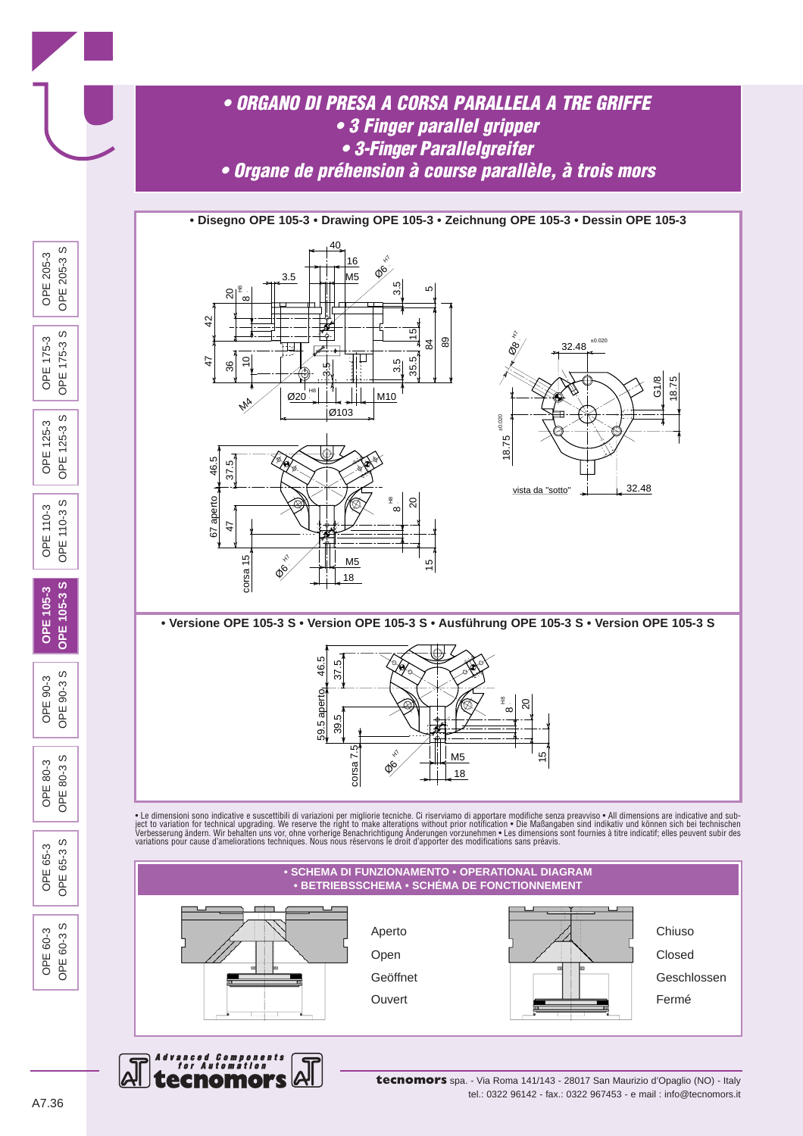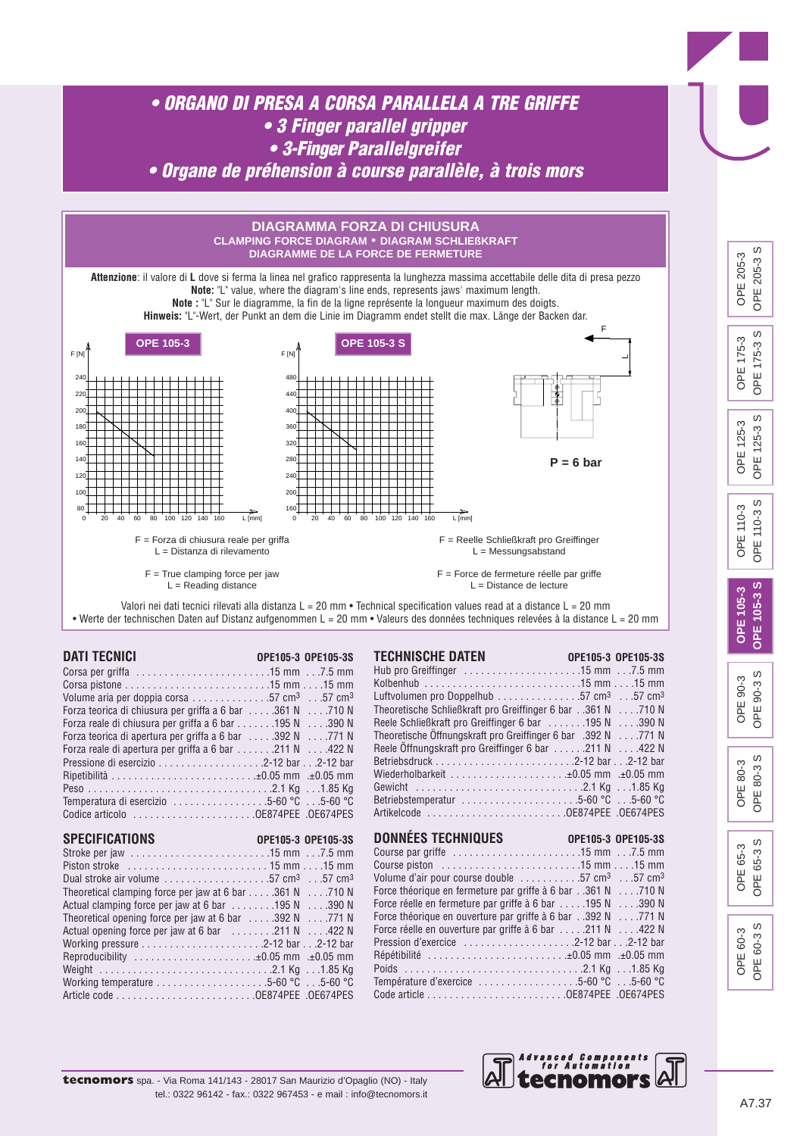







#### A7.37

OPE OPE<sub>6</sub>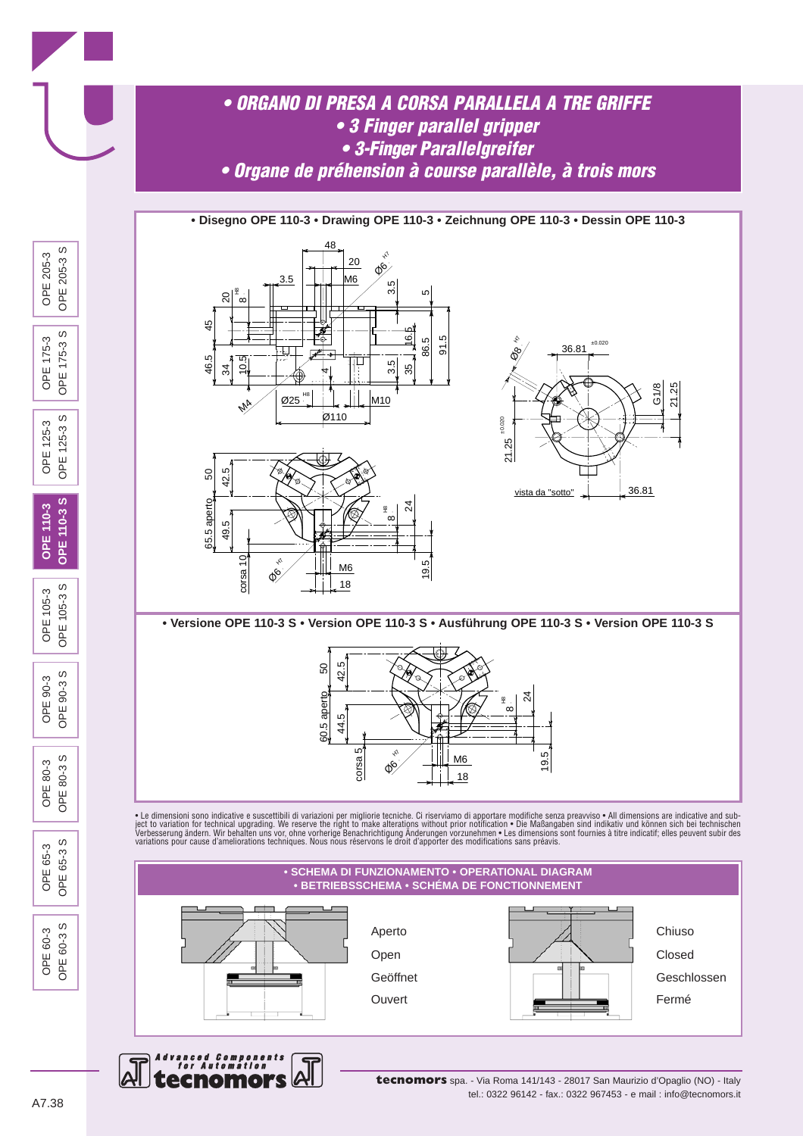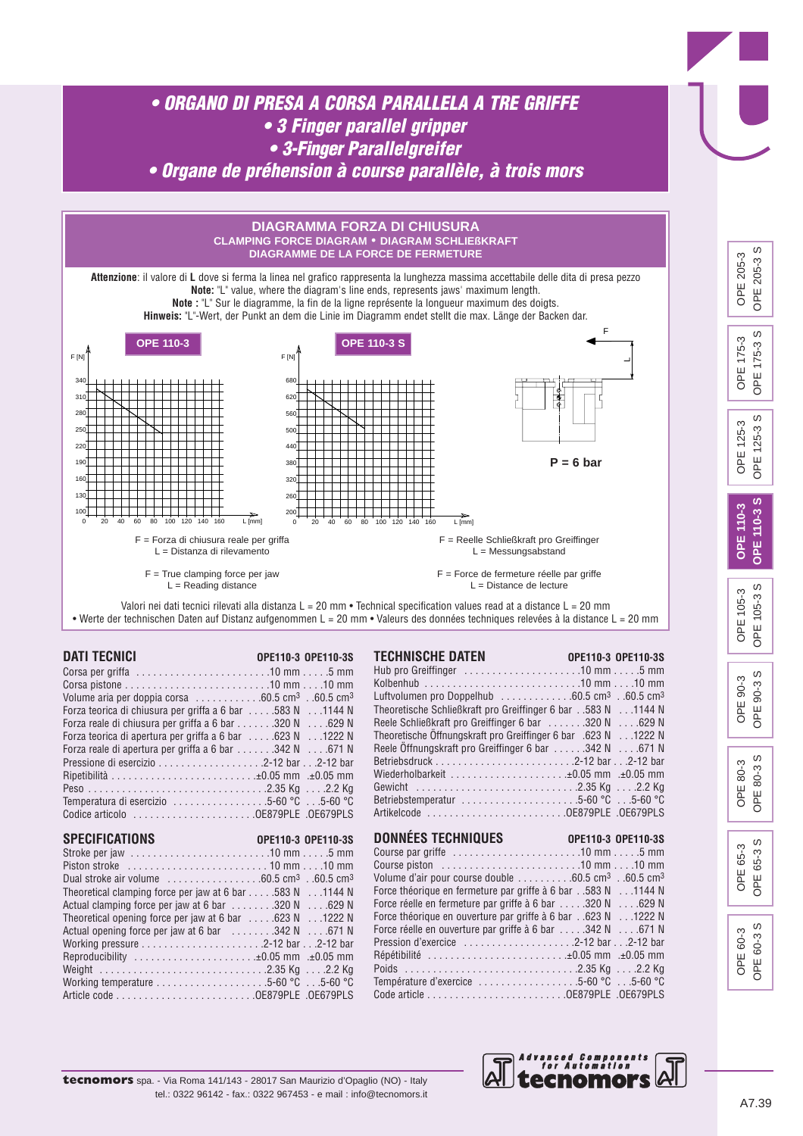

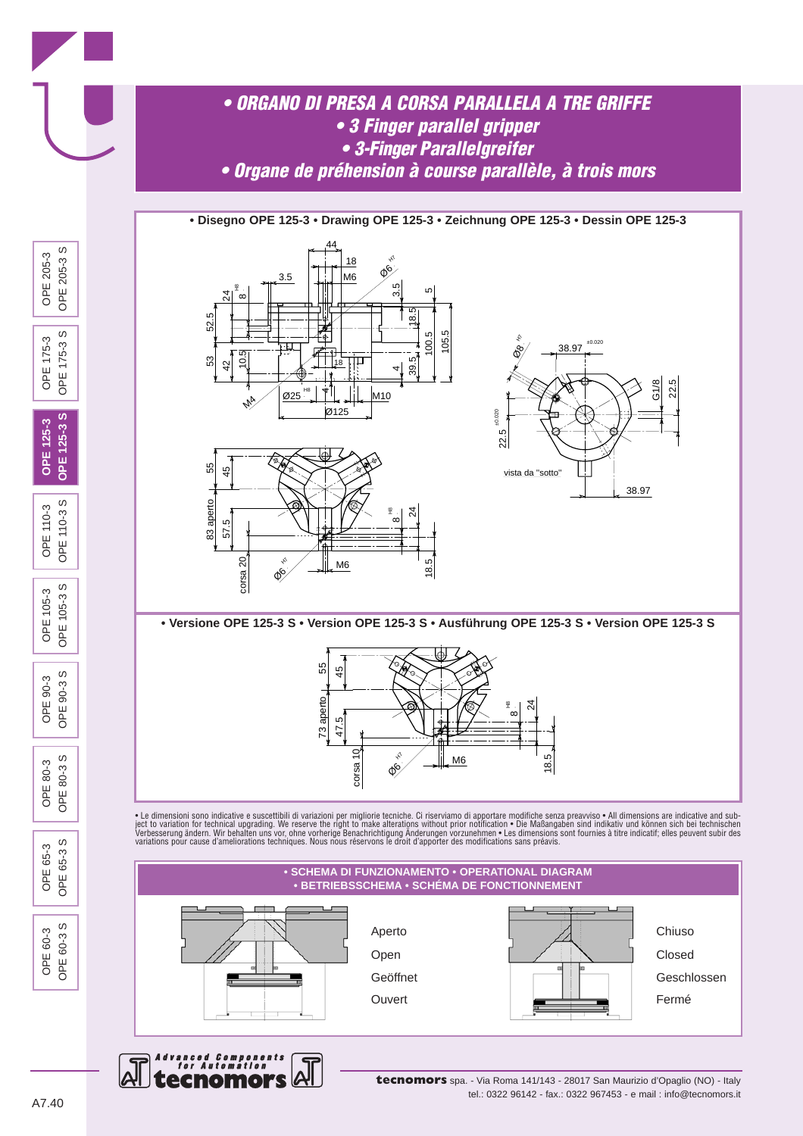

**tecnomors** spa. - Via Roma 141/143 - 28017 San Maurizio d'Opaglio (NO) - Italy tel.: 0322 96142 - fax.: 0322 967453 - e mail : info@tecnomors.it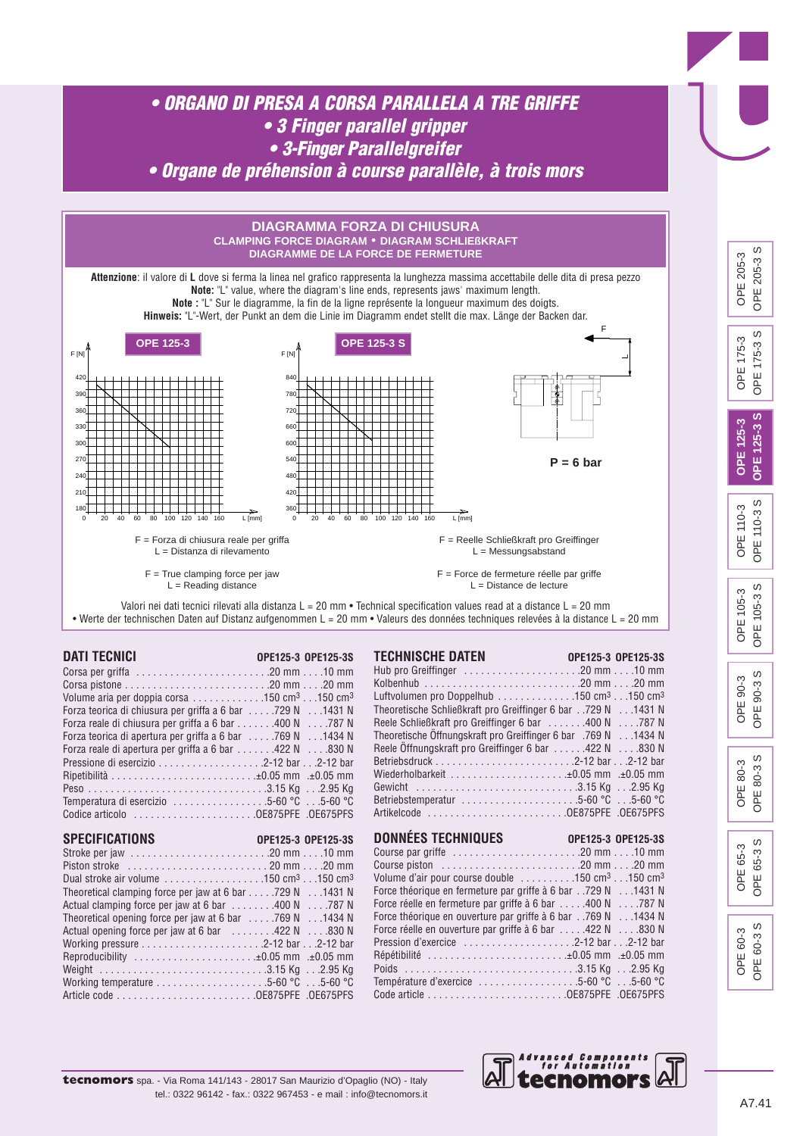

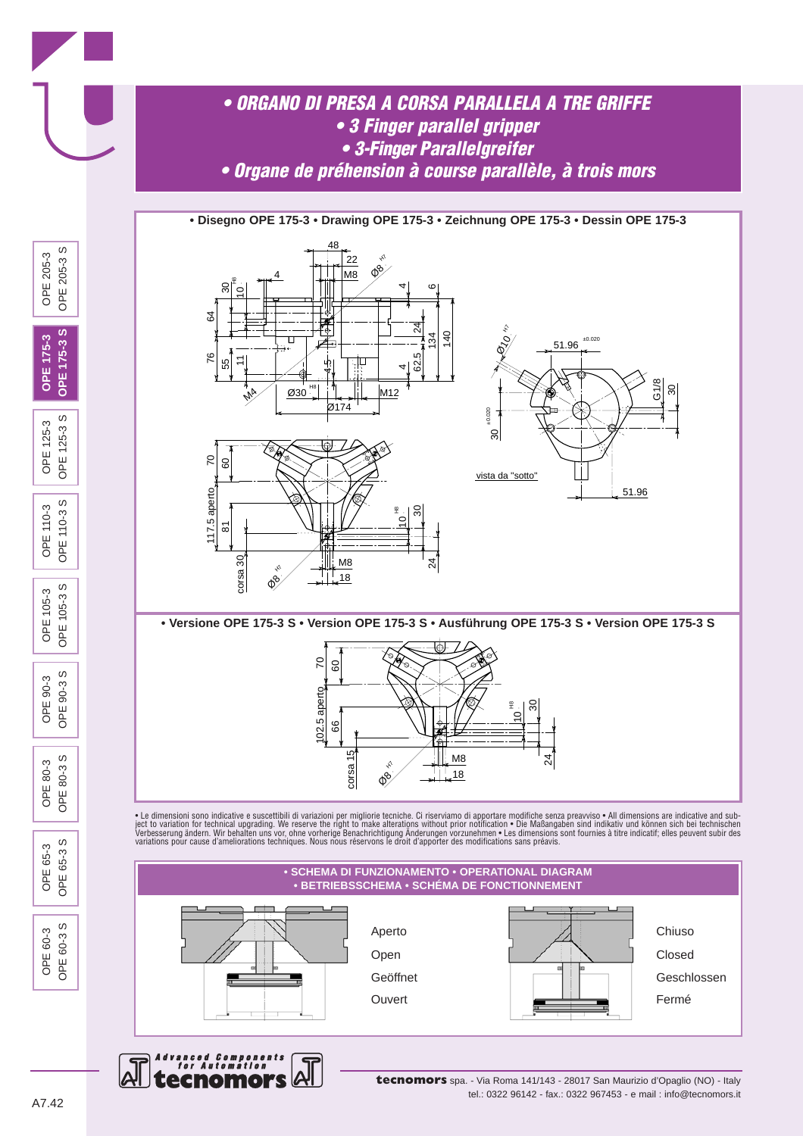

tel.: 0322 96142 - fax.: 0322 967453 - e mail : info@tecnomors.it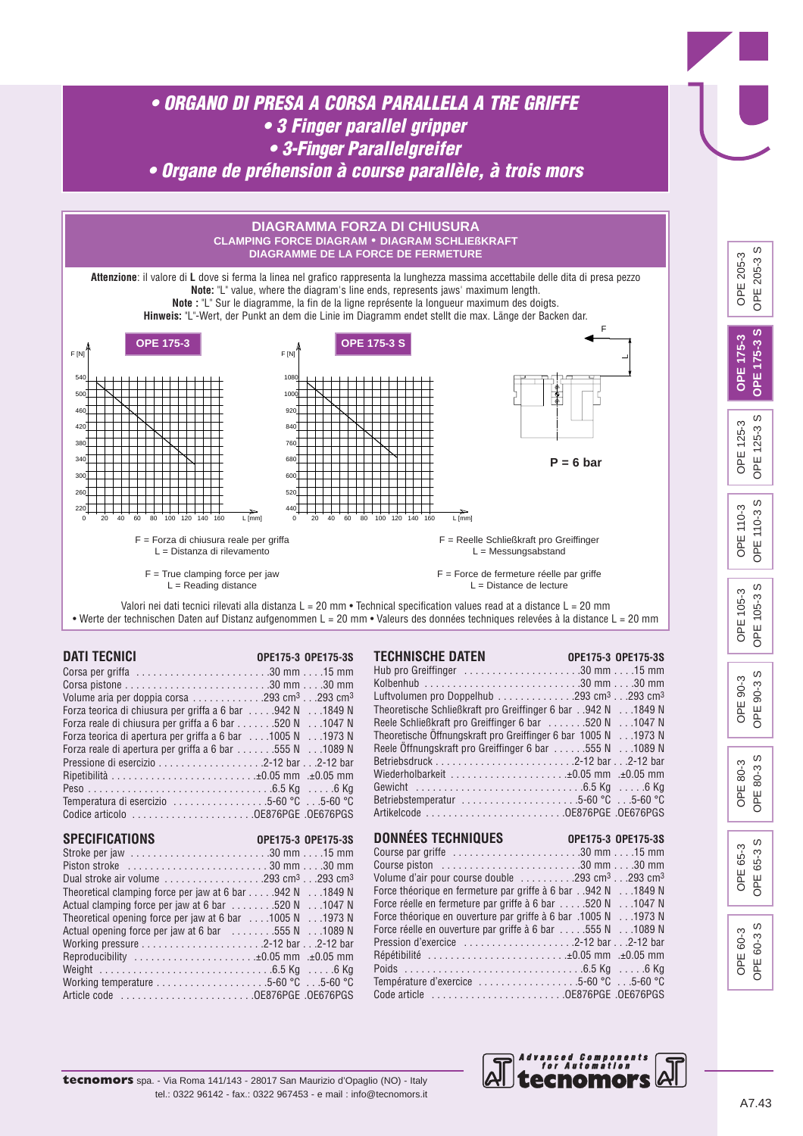

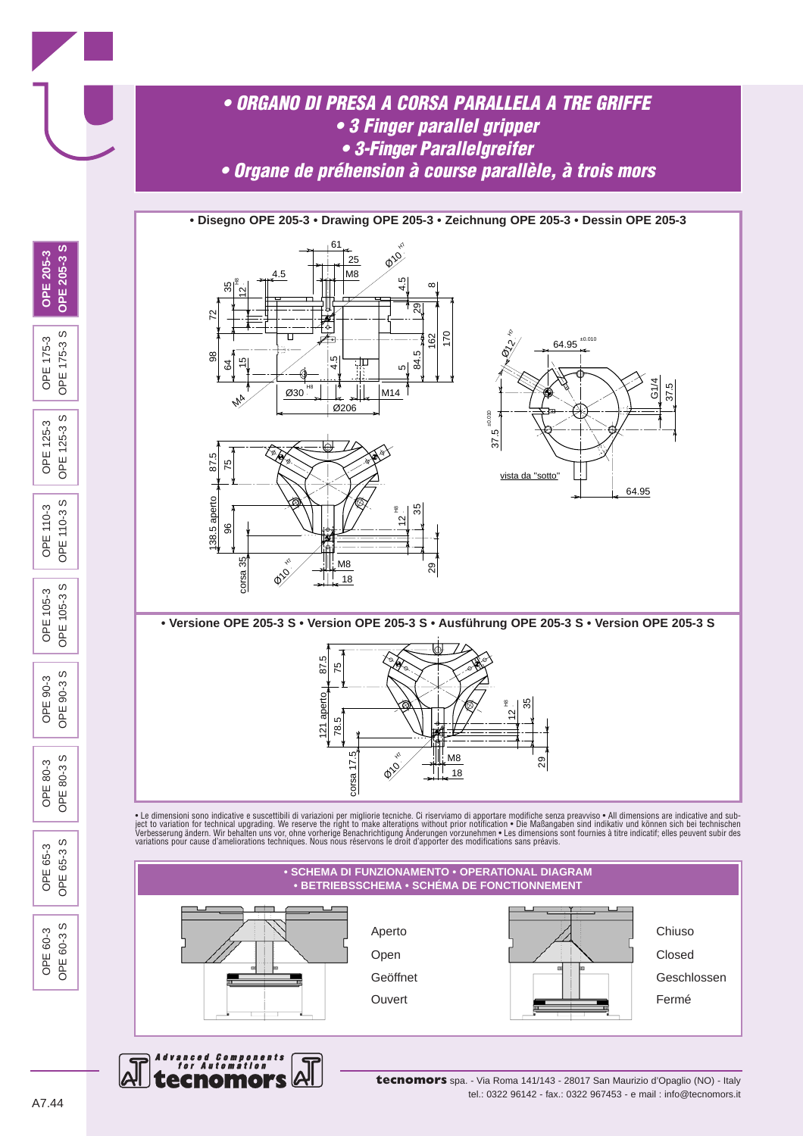

**tecnomors** spa. - Via Roma 141/143 - 28017 San Maurizio d'Opaglio (NO) - Italy tel.: 0322 96142 - fax.: 0322 967453 - e mail : info@tecnomors.it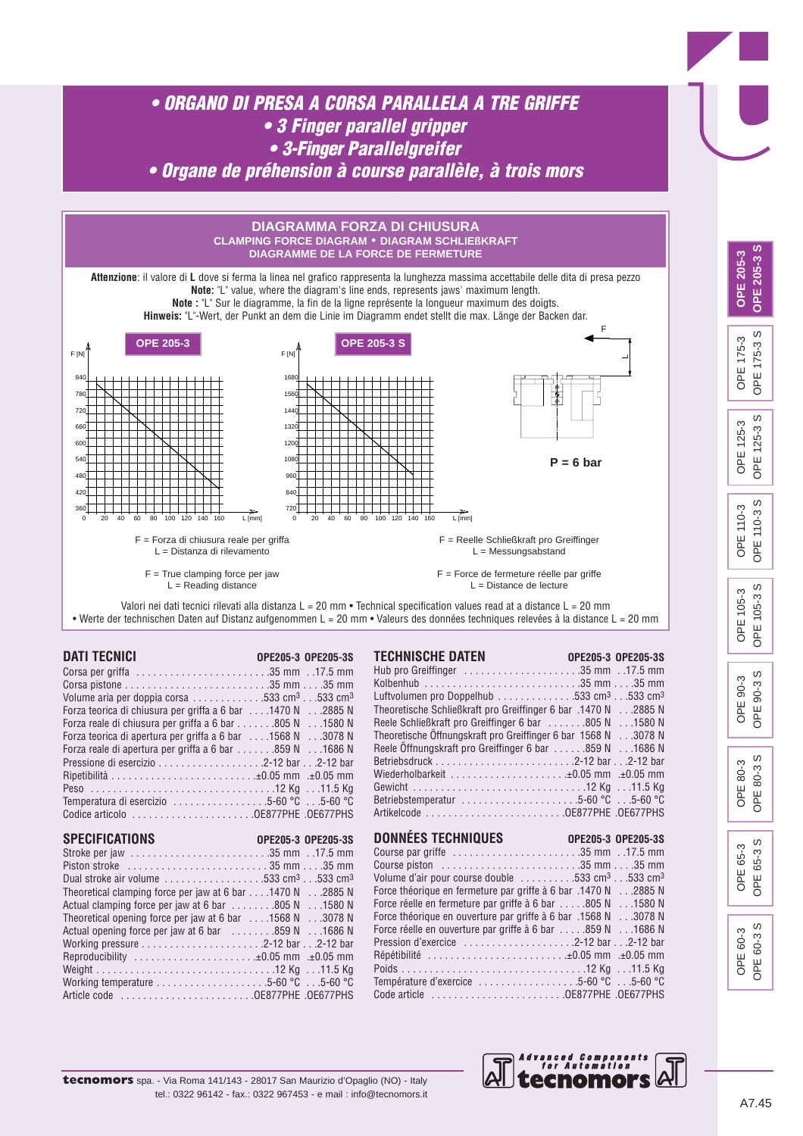



*Advanced Components*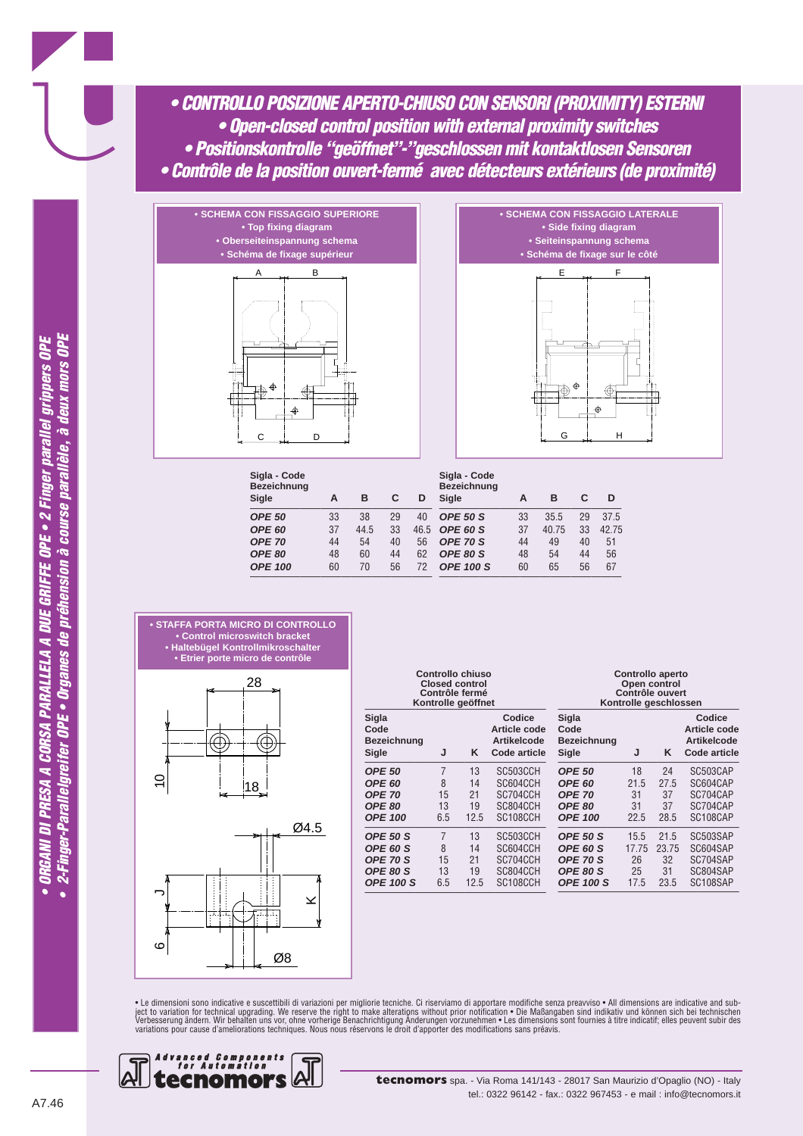*• CONTROLLO POSIZIONE APERTO-CHIUSO CON SENSORI (PROXIMITY) ESTERNI • Open-closed control position with external proximity switches • Positionskontrolle "geöffnet"-"geschlossen mit kontaktlosen Sensoren • Contrôle de la position ouvert-fermé avec détecteurs extérieurs (de proximité)*





| А  | в    | С  | D    | Sigla - Code<br>Bezeichnung<br><b>Sigle</b> | А  | в     | С  | D     |
|----|------|----|------|---------------------------------------------|----|-------|----|-------|
| 33 | 38   | 29 | 40   | <b>OPE 50 S</b>                             | 33 | 35.5  | 29 | 37.5  |
| 37 | 44.5 | 33 | 46.5 | OPE 60 S                                    | 37 | 40.75 | 33 | 42.75 |
| 44 | 54   | 40 | 56   | OPE 70 S                                    | 44 | 49    | 40 | 51    |
| 48 | 60   | 44 | 62   | OPE 80 S                                    | 48 | 54    | 44 | 56    |
| 60 | 70   | 56 | 72   | <b>OPE 100 S</b>                            | 60 | 65    | 56 | 67    |
|    |      |    |      |                                             |    |       |    |       |







|                                              |     | Controllo chiuso<br><b>Closed control</b><br>Contrôle fermé<br>Kontrolle geöffnet |                                                              | Controllo aperto<br>Open control<br>Contrôle ouvert<br>Kontrolle geschlossen |       |       |                                                              |  |  |
|----------------------------------------------|-----|-----------------------------------------------------------------------------------|--------------------------------------------------------------|------------------------------------------------------------------------------|-------|-------|--------------------------------------------------------------|--|--|
| Sigla<br>Code<br><b>Bezeichnung</b><br>Sigle | J   | Κ                                                                                 | Codice<br>Article code<br><b>Artikelcode</b><br>Code article | Sigla<br>Code<br><b>Bezeichnung</b><br>Sigle                                 | J     | Κ     | Codice<br>Article code<br><b>Artikelcode</b><br>Code article |  |  |
| <b>OPE 50</b>                                | 7   | 13                                                                                | SC503CCH                                                     | <b>OPE 50</b>                                                                | 18    | 24    | SC503CAP                                                     |  |  |
| <b>OPE 60</b>                                | 8   | 14                                                                                | SC604CCH                                                     | <b>OPE 60</b>                                                                | 21.5  | 27.5  | SC604CAP                                                     |  |  |
| <b>OPE 70</b>                                | 15  | 21                                                                                | SC704CCH                                                     | <b>OPE 70</b>                                                                | 31    | 37    | SC704CAP                                                     |  |  |
| <b>OPE 80</b>                                | 13  | 19                                                                                | SC804CCH                                                     | <b>OPE 80</b>                                                                | 31    | 37    | SC704CAP                                                     |  |  |
| <b>OPE 100</b>                               | 6.5 | 12.5                                                                              | SC <sub>108</sub> CCH                                        | <b>OPE 100</b>                                                               | 22.5  | 28.5  | SC108CAP                                                     |  |  |
| <b>OPE 50 S</b>                              | 7   | 13                                                                                | SC503CCH                                                     | <b>OPE 50 S</b>                                                              | 15.5  | 21.5  | SC503SAP                                                     |  |  |
| <b>OPE 60 S</b>                              | 8   | 14                                                                                | SC604CCH                                                     | OPE 60 S                                                                     | 17.75 | 23.75 | SC604SAP                                                     |  |  |
| <b>OPE 70 S</b>                              | 15  | 21                                                                                | SC704CCH                                                     | OPE 70 S                                                                     | 26    | 32    | SC704SAP                                                     |  |  |
| OPE 80 S                                     | 13  | 19                                                                                | SC804CCH                                                     | OPE 80 S                                                                     | 25    | 31    | SC804SAP                                                     |  |  |
| <b>OPE 100 S</b>                             | 6.5 | 12.5                                                                              | SC108CCH                                                     | <b>OPE 100 S</b>                                                             | 17.5  | 23.5  | SC108SAP                                                     |  |  |

• Le dimensioni sono indicative e suscettibili di variazioni per migliorie tecniche. Ci riserviamo di apportare modifiche senza preavviso • All dimensions are indicative and sub-<br>ject to variation for technical upgrading.

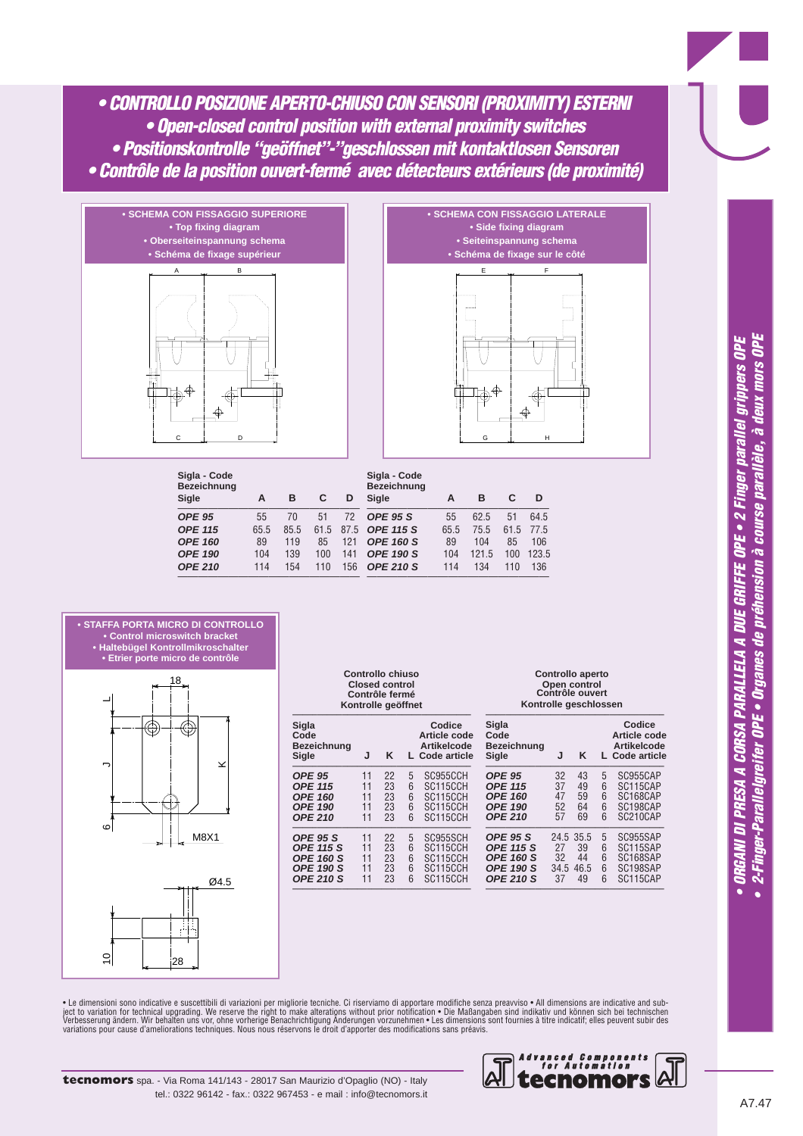*• CONTROLLO POSIZIONE APERTO-CHIUSO CON SENSORI (PROXIMITY) ESTERNI • Open-closed control position with external proximity switches • Positionskontrolle "geöffnet"-"geschlossen mit kontaktlosen Sensoren • Contrôle de la position ouvert-fermé avec détecteurs extérieurs (de proximité)*





| Sigla - Code<br><b>Bezeichnung</b><br>Sigle | А    | в    | С    | D    | Sigla - Code<br><b>Bezeichnung</b><br>Sigle | А    | в    | С    | D     |
|---------------------------------------------|------|------|------|------|---------------------------------------------|------|------|------|-------|
| <b>OPE 95</b>                               | 55   | 70   | 51   | 72   | <b>OPE 95 S</b>                             | 55   | 62.5 | 51   | 64.5  |
| <b>OPE 115</b>                              | 65.5 | 85.5 | 61.5 | 87.5 | <b>OPE 115 S</b>                            | 65.5 | 75.5 | 61.5 | 77.5  |
| <b>OPE 160</b>                              | 89   | 119  | 85   | 121  | <b>OPE 160 S</b>                            | 89   | 104  | 85   | 106   |
| <b>OPE 190</b>                              | 104  | 139  | 100  | 141  | <b>OPE 190 S</b>                            | 104  | 1215 | 100  | 123.5 |
| <b>OPE 210</b>                              | 114  | 154  | 110  | 156  | <b>OPE 210 S</b>                            | 114  | 134  | 110  | 136   |



|                                       |    | <b>Closed control</b><br>Contrôle fermé<br>Kontrolle geöffnet |   |                                                                |                  |
|---------------------------------------|----|---------------------------------------------------------------|---|----------------------------------------------------------------|------------------|
| Sigla<br>Code<br>Bezeichnung<br>Sigle | J  | Κ                                                             |   | Codice<br>Article code<br><b>Artikelcode</b><br>L Code article | S<br>C<br>B<br>S |
| <b>OPE 95</b>                         | 11 | 22                                                            | 5 | SC955CCH                                                       | C                |
| <b>OPE 115</b>                        | 11 | 23                                                            | 6 | SC115CCH                                                       | C                |
| <b>OPE 160</b>                        | 11 | 23                                                            | 6 | SC115CCH                                                       | $\mathcal{C}$    |
| <b>OPE 190</b>                        | 11 | 23                                                            | 6 | SC115CCH                                                       | C                |
| <b>OPE 210</b>                        | 11 | 23                                                            | 6 | SC115CCH                                                       | C                |
| <b>OPE 95 S</b>                       | 11 | 22                                                            | 5 | SC955SCH                                                       | C                |
| <b>OPE 115 S</b>                      | 11 | 23                                                            | 6 | SC115CCH                                                       | C                |
| <b>OPE 160 S</b>                      | 11 | 23                                                            | 6 | SC115CCH                                                       | C                |
| <b>OPE 190 S</b>                      | 11 | 23                                                            | 6 | SC115CCH                                                       | C                |
| <b>OPE 210 S</b>                      | 11 | 23                                                            | 6 | SC115CCH                                                       | С                |

––––––––––––––––––––––––––––––––––––

**Controllo chiuso**

| Controllo aperto      |
|-----------------------|
| Open control          |
| Contrôle ouvert       |
| Kontrolle geschlossen |

| Sigla<br>Code                                                                                   |                            |                                     |                       | Codice<br>Article code                                   |
|-------------------------------------------------------------------------------------------------|----------------------------|-------------------------------------|-----------------------|----------------------------------------------------------|
| <b>Bezeichnung</b><br>Sigle                                                                     | J.                         | ĸ                                   |                       | <b>Artikelcode</b><br>L Code article                     |
| <b>OPE 95</b><br><b>OPE 115</b><br><b>OPE 160</b><br><b>OPE 190</b><br><b>OPE 210</b>           | 32<br>37<br>47<br>52<br>57 | 43<br>49<br>59<br>64<br>69          | 5<br>6<br>6<br>6<br>6 | SC955CAP<br>SC115CAP<br>SC168CAP<br>SC198CAP<br>SC210CAP |
| <b>OPE 95 S</b><br><b>OPE 115 S</b><br><b>OPE 160 S</b><br><b>OPE 190 S</b><br><b>OPE 210 S</b> | 27<br>32<br>34.5<br>37     | 24.5 35.5<br>39<br>44<br>46.5<br>49 | 5<br>6<br>6<br>6<br>հ | SC955SAP<br>SC115SAP<br>SC168SAP<br>SC198SAP<br>SC115CAP |

• Le dimensioni sono indicative e suscettibili di variazioni per migliorie tecniche. Ci riserviamo di apportare modifiche senza preavviso • All dimensions are indicative and sub-<br>ject to variation for technical upgrading.

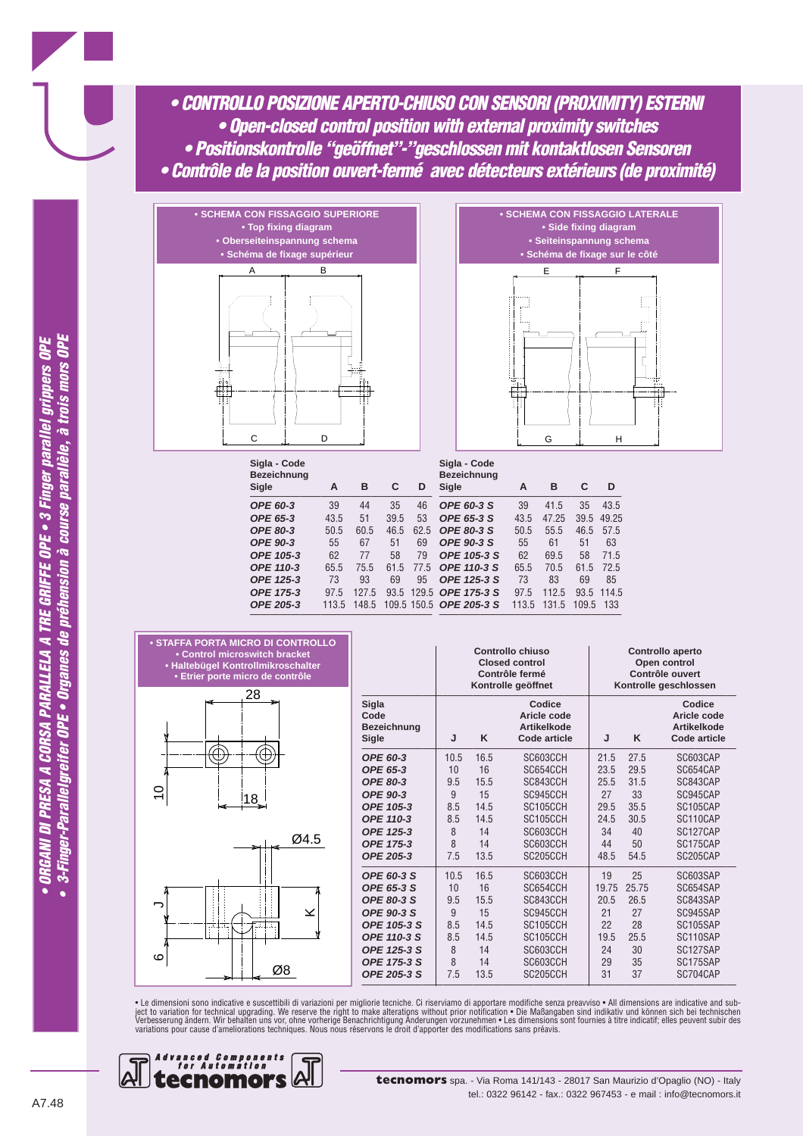*• CONTROLLO POSIZIONE APERTO-CHIUSO CON SENSORI (PROXIMITY) ESTERNI • Open-closed control position with external proximity switches • Positionskontrolle "geöffnet"-"geschlossen mit kontaktlosen Sensoren • Contrôle de la position ouvert-fermé avec détecteurs extérieurs (de proximité)*





| Sigla - Code<br><b>Bezeichnung</b><br>Sigle | A    | в     | C    | D     | Sigla - Code<br><b>Bezeichnung</b><br>Sigle | A     | в     | C     | D     |
|---------------------------------------------|------|-------|------|-------|---------------------------------------------|-------|-------|-------|-------|
| <b>OPE 60-3</b>                             | 39   | 44    | 35   | 46    | OPE 60-3 S                                  | 39    | 41.5  | 35    | 43.5  |
| OPE 65-3                                    | 43.5 | 51    | 39.5 | 53    | OPE 65-3 S                                  | 43.5  | 47.25 | 39.5  | 49.25 |
| <b>OPE 80-3</b>                             | 50.5 | 60.5  | 46.5 | 62.5  | <b>OPE 80-3 S</b>                           | 50.5  | 55.5  | 46.5  | 57.5  |
| <b>OPE 90-3</b>                             | 55   | 67    | 51   | 69    | <b>OPE 90-3 S</b>                           | 55    | 61    | 51    | 63    |
| OPE 105-3                                   | 62   | 77    | 58   | 79    | OPE 105-3 S                                 | 62    | 69.5  | 58    | 71.5  |
| <b>OPE 110-3</b>                            | 65.5 | 75.5  | 61.5 | 77.5  | OPE 110-3 S                                 | 65.5  | 70.5  | 61.5  | 72.5  |
| OPE 125-3                                   | 73   | 93    | 69   | 95    | OPE 125-3 S                                 | 73    | 83    | 69    | 85    |
| OPE 175-3                                   | 97.5 | 127.5 | 93.5 | 129.5 | OPE 175-3 S                                 | 97.5  | 112.5 | 93.5  | 114.5 |
| OPE 205-3                                   | 1135 | 148.5 |      |       | 109.5 150.5 OPE 205-3 S                     | 113.5 | 131.5 | 109.5 | 133   |





っ

 $\circ$ 

|                                              |      |      | Controllo chiuso<br><b>Closed control</b><br>Contrôle fermé<br>Kontrolle geöffnet | Controllo aperto<br>Open control<br>Contrôle ouvert<br>Kontrolle geschlossen |       |                                                                    |  |  |  |
|----------------------------------------------|------|------|-----------------------------------------------------------------------------------|------------------------------------------------------------------------------|-------|--------------------------------------------------------------------|--|--|--|
| Sigla<br>Code<br><b>Bezeichnung</b><br>Sigle | J    | K    | Codice<br>Aricle code<br><b>Artikelkode</b><br>Code article                       | J                                                                            | K     | Codice<br>Aricle code<br><b>Artikelkode</b><br><b>Code article</b> |  |  |  |
| OPE 60-3                                     | 10.5 | 16.5 | SC603CCH                                                                          | 21.5                                                                         | 27.5  | SC603CAP                                                           |  |  |  |
| OPE 65-3                                     | 10   | 16   | SC654CCH                                                                          | 23.5                                                                         | 29.5  | SC654CAP                                                           |  |  |  |
| <b>OPE 80-3</b>                              | 9.5  | 15.5 | SC843CCH                                                                          | 25.5                                                                         | 31.5  | SC843CAP                                                           |  |  |  |
| OPE 90-3                                     | 9    | 15   | SC945CCH                                                                          | 27                                                                           | 33    | SC945CAP                                                           |  |  |  |
| OPE 105-3                                    | 8.5  | 14.5 | SC105CCH                                                                          | 29.5                                                                         | 35.5  | SC105CAP                                                           |  |  |  |
| OPE 110-3                                    | 8.5  | 14.5 | SC105CCH                                                                          | 24.5                                                                         | 30.5  | SC110CAP                                                           |  |  |  |
| OPE 125-3                                    | 8    | 14   | SC603CCH                                                                          | 34                                                                           | 40    | SC127CAP                                                           |  |  |  |
| OPE 175-3                                    | 8    | 14   | SC603CCH                                                                          | 44                                                                           | 50    | SC175CAP                                                           |  |  |  |
| OPE 205-3                                    | 7.5  | 13.5 | SC205CCH                                                                          | 48.5                                                                         | 54.5  | SC205CAP                                                           |  |  |  |
| OPE 60-3 S                                   | 10.5 | 16.5 | SC603CCH                                                                          | 19                                                                           | 25    | SC603SAP                                                           |  |  |  |
| <b>OPE 65-3 S</b>                            | 10   | 16   | SC654CCH                                                                          | 19.75                                                                        | 25.75 | SC654SAP                                                           |  |  |  |
| <b>OPE 80-3 S</b>                            | 9.5  | 15.5 | SC843CCH                                                                          | 20.5                                                                         | 26.5  | SC843SAP                                                           |  |  |  |
| <b>OPE 90-3 S</b>                            | 9    | 15   | SC945CCH                                                                          | 21                                                                           | 27    | SC945SAP                                                           |  |  |  |
| OPE 105-3 S                                  | 8.5  | 14.5 | SC105CCH                                                                          | 22                                                                           | 28    | SC105SAP                                                           |  |  |  |
| OPE 110-3 S                                  | 8.5  | 14.5 | SC105CCH                                                                          | 19.5                                                                         | 25.5  | SC110SAP                                                           |  |  |  |
| OPE 125-3 S                                  | 8    | 14   | SC603CCH                                                                          | 24                                                                           | 30    | SC127SAP                                                           |  |  |  |
| OPE 175-3 S                                  | 8    | 14   | SC603CCH                                                                          | 29                                                                           | 35    | SC175SAP                                                           |  |  |  |
| OPE 205-3 S                                  | 7.5  | 13.5 | SC205CCH                                                                          | 31                                                                           | 37    | SC704CAP                                                           |  |  |  |

• Le dimensioni sono indicative e suscettibili di variazioni per migliorie tecniche. Ci riserviamo di apportare modifiche senza preavviso • All dimensions are indicative and sub-<br>ject to variation for technical upgrading.

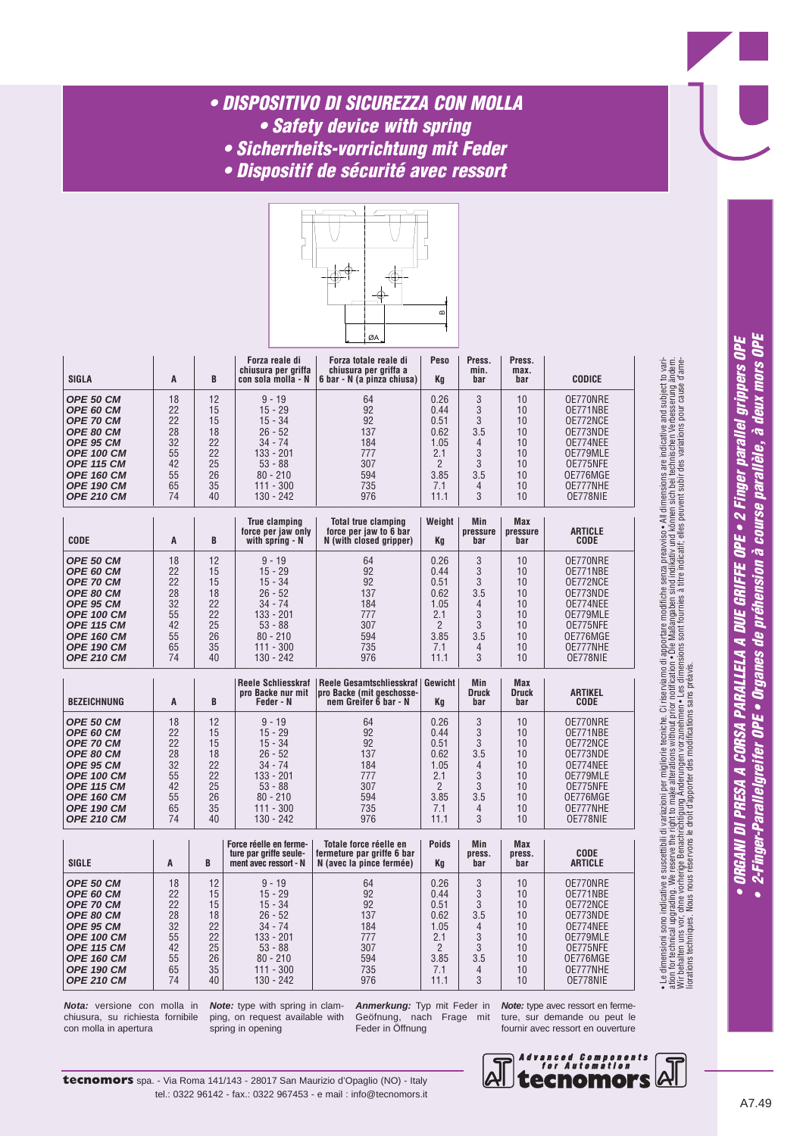# *• DISPOSITIVO DI SICUREZZA CON MOLLA*

- *Safety device with spring • Sicherrheits-vorrichtung mit Feder*
- 
- *Dispositif de sécurité avec ressort*



| <b>SIGLA</b>      | A  | B  | Forza reale di<br>chiusura per griffa<br>con sola molla - N | Forza totale reale di<br>chiusura per griffa a<br>6 bar - N (a pinza chiusa) | Peso<br>Kq | Press.<br>min.<br>bar | Press.<br>max.<br>bar | <b>CODICE</b> |
|-------------------|----|----|-------------------------------------------------------------|------------------------------------------------------------------------------|------------|-----------------------|-----------------------|---------------|
| OPE 50 CM         | 18 | 12 | $9 - 19$                                                    | 64                                                                           | 0.26       | 3                     | 10                    | OE770NRE      |
| OPE 60 CM         | 22 | 15 | $15 - 29$                                                   | 92                                                                           | 0.44       | 3                     | 10                    | OE771NBE      |
| <b>OPE 70 CM</b>  | 22 | 15 | $15 - 34$                                                   | 92                                                                           | 0.51       | 3                     | 10                    | OE772NCE      |
| OPE 80 CM         | 28 | 18 | $26 - 52$                                                   | 137                                                                          | 0.62       | 3.5                   | 10                    | OE773NDE      |
| OPE 95 CM         | 32 | 22 | $34 - 74$                                                   | 184                                                                          | 1.05       | 4                     | 10                    | OE774NEE      |
| <b>OPE 100 CM</b> | 55 | 22 | $133 - 201$                                                 | 777                                                                          | 2.1        | 3                     | 10                    | OE779MLE      |
| <b>OPE 115 CM</b> | 42 | 25 | $53 - 88$                                                   | 307                                                                          | C          | 3                     | 10                    | OE775NFE      |
| <b>OPE 160 CM</b> | 55 | 26 | $80 - 210$                                                  | 594                                                                          | 3.85       | 3.5                   | 10                    | OE776MGE      |
| <b>OPE 190 CM</b> | 65 | 35 | $111 - 300$                                                 | 735                                                                          | 7.1        | 4                     | 10                    | OE777NHE      |
| <b>OPE 210 CM</b> | 74 | 40 | 130 - 242                                                   | 976                                                                          | 11.1       | 3                     | 10                    | OE778NIE      |

| <b>CODE</b>       | A  | B  | True clamping<br>force per jaw only<br>with spring - N | Total true clamping<br>force per jaw to 6 bar<br>N (with closed gripper) | Weight<br>Kq | Min<br>pressure<br>bar | <b>Max</b><br>pressure<br>bar | <b>ARTICLE</b><br><b>CODE</b> |
|-------------------|----|----|--------------------------------------------------------|--------------------------------------------------------------------------|--------------|------------------------|-------------------------------|-------------------------------|
| OPE 50 CM         | 18 | 12 | $9 - 19$                                               | 64                                                                       | 0.26         | 3                      | 10                            | OE770NRE                      |
| OPE 60 CM         | 22 | 15 | $15 - 29$                                              | 92                                                                       | 0.44         | 3                      | 10                            | OE771NBE                      |
| OPE 70 CM         | 22 | 15 | $15 - 34$                                              | 92                                                                       | 0.51         | 3                      | 10                            | OE772NCE                      |
| OPE 80 CM         | 28 | 18 | $26 - 52$                                              | 137                                                                      | 0.62         | 3.5                    | 10                            | OE773NDE                      |
| OPE 95 CM         | 32 | 22 | $34 - 74$                                              | 184                                                                      | 1.05         | 4                      | 10                            | OE774NEE                      |
| <b>OPE 100 CM</b> | 55 | 22 | 133 - 201                                              | 777                                                                      | 2.1          | 3                      | 10                            | OE779MLE                      |
| <b>OPE 115 CM</b> | 42 | 25 | $53 - 88$                                              | 307                                                                      | C            | 3                      | 10                            | OE775NFE                      |
| <b>OPE 160 CM</b> | 55 | 26 | $80 - 210$                                             | 594                                                                      | 3.85         | 3.5                    | 10                            | OE776MGE                      |
| <b>OPE 190 CM</b> | 65 | 35 | $111 - 300$                                            | 735                                                                      | 7.1          | 4                      | 10                            | OE777NHE                      |
| <b>OPE 210 CM</b> | 74 | 40 | 130 - 242                                              | 976                                                                      | 11.1         | 3                      | 10                            | OE778NIE                      |

| <b>BEZEICHNUNG</b>                                                                                                                                                            | A                                                        | B                                                        | <b>Reele Schliesskraf</b><br>pro Backe nur mit<br>Feder - N                                                                        | Reele Gesamtschliesskraf   Gewicht<br>pro Backe (mit geschosse-<br>nem Greifer 6 bar - N | Kq                                                                      | Min<br><b>Druck</b><br>bar | <b>Max</b><br><b>Druck</b><br>bar                        | <b>ARTIKEL</b><br><b>CODE</b>                                                                                        |
|-------------------------------------------------------------------------------------------------------------------------------------------------------------------------------|----------------------------------------------------------|----------------------------------------------------------|------------------------------------------------------------------------------------------------------------------------------------|------------------------------------------------------------------------------------------|-------------------------------------------------------------------------|----------------------------|----------------------------------------------------------|----------------------------------------------------------------------------------------------------------------------|
| OPE 50 CM<br>OPE 60 CM<br><b>OPE 70 CM</b><br>OPE 80 CM<br>OPE 95 CM<br><b>OPE 100 CM</b><br><b>OPE 115 CM</b><br><b>OPE 160 CM</b><br><b>OPE 190 CM</b><br><b>OPE 210 CM</b> | 18<br>22<br>22<br>28<br>32<br>55<br>42<br>55<br>65<br>74 | 12<br>15<br>15<br>18<br>22<br>22<br>25<br>26<br>35<br>40 | $9 - 19$<br>$15 - 29$<br>$15 - 34$<br>$26 - 52$<br>$34 - 74$<br>$133 - 201$<br>$53 - 88$<br>$80 - 210$<br>$111 - 300$<br>130 - 242 | 64<br>92<br>92<br>137<br>184<br>777<br>307<br>594<br>735<br>976                          | 0.26<br>0.44<br>0.51<br>0.62<br>1.05<br>2.1<br>C<br>3.85<br>7.1<br>11.1 | 3<br>3.5<br>3.5<br>3       | 10<br>10<br>10<br>10<br>10<br>10<br>10<br>10<br>10<br>10 | OE770NRE<br>OE771NBE<br>OE772NCE<br>OE773NDE<br>OE774NEE<br>OE779MLE<br>OE775NFE<br>OE776MGE<br>OE777NHE<br>OE778NIE |

| <b>SIGLE</b>      | A  | B  | Force réelle en ferme-<br>ture par griffe seule-<br>ment avec ressort - N | Totale force réelle en<br>fermeture par griffe 6 bar<br>N (avec la pince fermée) | <b>Poids</b><br>Kq | <b>Min</b><br>press.<br>bar | <b>Max</b><br>press.<br>bar | <b>CODE</b><br><b>ARTICLE</b> |
|-------------------|----|----|---------------------------------------------------------------------------|----------------------------------------------------------------------------------|--------------------|-----------------------------|-----------------------------|-------------------------------|
| <b>OPE 50 CM</b>  | 18 | 12 | $9 - 19$                                                                  | 64                                                                               | 0.26               | 3                           | 10                          | OE770NRE                      |
| OPE 60 CM         | 22 | 15 | $15 - 29$                                                                 | 92                                                                               | 0.44               |                             | 10                          | OE771NBE                      |
| <b>OPE 70 CM</b>  | 22 | 15 | $15 - 34$                                                                 | 92                                                                               | 0.51               |                             | 10                          | OE772NCE                      |
| <b>OPE 80 CM</b>  | 28 | 18 | $26 - 52$                                                                 | 137                                                                              | 0.62               | 3.5                         | 10                          | OE773NDE                      |
| OPE 95 CM         | 32 | 22 | $34 - 74$                                                                 | 184                                                                              | 1.05               | 4                           | 10                          | OE774NEE                      |
| <b>OPE 100 CM</b> | 55 | 22 | 133 - 201                                                                 | 777                                                                              | 2.1                |                             | 10                          | OE779MLE                      |
| <b>OPE 115 CM</b> | 42 | 25 | $53 - 88$                                                                 | 307                                                                              | $\mathfrak{p}$     | $\Omega$                    | 10                          | OE775NFE                      |
| <b>OPE 160 CM</b> | 55 | 26 | $80 - 210$                                                                | 594                                                                              | 3.85               | 3.5                         | 10                          | OE776MGE                      |
| <b>OPE 190 CM</b> | 65 | 35 | $111 - 300$                                                               | 735                                                                              | 7.1                | 4                           | 10                          | OE777NHE                      |
| <b>OPE 210 CM</b> | 74 | 40 | 130 - 242                                                                 | 976                                                                              | 11.1               | 3                           | 10                          | OE778NIE                      |

**Nota:** versione con molla in chiusura, su richiesta fornibile con molla in apertura

**Note:** type with spring in clamping, on request available with spring in opening

**Anmerkung:** Typ mit Feder in Geöfnung, nach Frage mit Feder in Öffnung

**Note:** type avec ressort en fermeture, sur demande ou peut le fournir avec ressort en ouverture

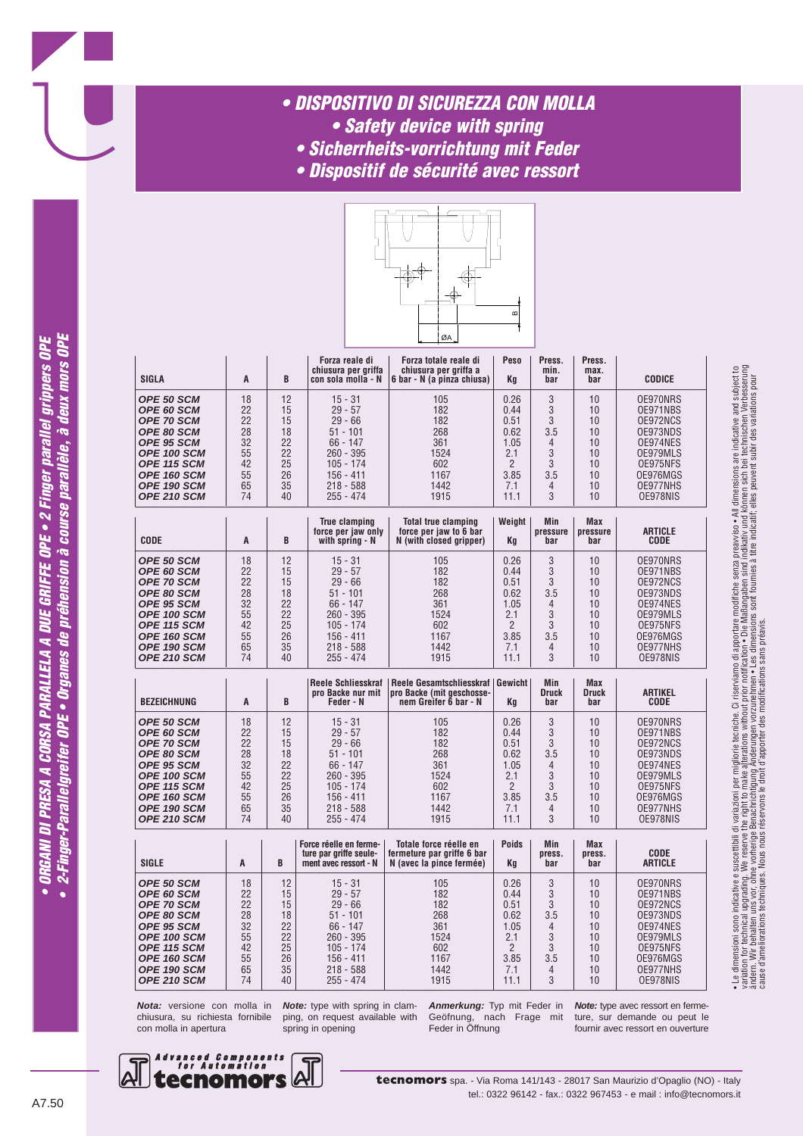### *• DISPOSITIVO DI SICUREZZA CON MOLLA • Safety device with spring*

- *Sicherrheits-vorrichtung mit Feder*
- 
- *Dispositif de sécurité avec ressort*



| <b>SIGLA</b>                                                                                                                                                | A                                                        | B                                                        | Forza reale di<br>chiusura per griffa<br>con sola molla - N                                                                                | Forza totale reale di<br>chiusura per griffa a<br>6 bar - N (a pinza chiusa)                                           | Peso<br>Κa                                                                           | Press.<br>min.<br>bar                                           | Press.<br>max.<br>bar                                    | <b>CODICE</b>                                                                                                        |
|-------------------------------------------------------------------------------------------------------------------------------------------------------------|----------------------------------------------------------|----------------------------------------------------------|--------------------------------------------------------------------------------------------------------------------------------------------|------------------------------------------------------------------------------------------------------------------------|--------------------------------------------------------------------------------------|-----------------------------------------------------------------|----------------------------------------------------------|----------------------------------------------------------------------------------------------------------------------|
| OPE 50 SCM<br>OPE 60 SCM<br>OPE 70 SCM<br>OPE 80 SCM<br>OPE 95 SCM<br><b>OPE 100 SCM</b><br>OPE 115 SCM<br>OPE 160 SCM<br>OPE 190 SCM<br><b>OPE 210 SCM</b> | 18<br>22<br>22<br>28<br>32<br>55<br>42<br>55<br>65<br>74 | 12<br>15<br>15<br>18<br>22<br>22<br>25<br>26<br>35<br>40 | $15 - 31$<br>$29 - 57$<br>$29 - 66$<br>$51 - 101$<br>$66 - 147$<br>$260 - 395$<br>$105 - 174$<br>$156 - 411$<br>$218 - 588$<br>255 - 474   | 105<br>0.26<br>182<br>182<br>0.51<br>268<br>0.62<br>361<br>1.05<br>1524<br>602<br>1167<br>3.85<br>1442<br>1915<br>11.1 |                                                                                      | 3<br>3<br>3<br>3.5<br>$\overline{4}$<br>3<br>3<br>3.5<br>4<br>3 | 10<br>10<br>10<br>10<br>10<br>10<br>10<br>10<br>10<br>10 | OE970NRS<br>OE971NBS<br>OE972NCS<br>OE973NDS<br>OE974NES<br>OE979MLS<br>OE975NFS<br>OE976MGS<br>OE977NHS<br>OE978NIS |
| <b>CODE</b>                                                                                                                                                 | A                                                        | B                                                        | <b>True clamping</b><br>force per jaw only<br>with spring - N                                                                              | <b>Total true clamping</b><br>force per jaw to 6 bar<br>N (with closed gripper)                                        | Weight<br>Κa                                                                         | Min<br>pressure<br>bar                                          | <b>Max</b><br>pressure<br>bar                            | <b>ARTICLE</b><br><b>CODE</b>                                                                                        |
| OPE 50 SCM<br>OPE 60 SCM<br><b>OPE 70 SCM</b><br>OPE 80 SCM<br>OPE 95 SCM<br>OPE 100 SCM<br>OPE 115 SCM<br>OPE 160 SCM<br>OPE 190 SCM<br>OPE 210 SCM        | 18<br>22<br>22<br>28<br>32<br>55<br>42<br>55<br>65<br>74 | 12<br>15<br>15<br>18<br>22<br>22<br>25<br>26<br>35<br>40 | $15 - 31$<br>$29 - 57$<br>$29 - 66$<br>$51 - 101$<br>$66 - 147$<br>$260 - 395$<br>$105 - 174$<br>$156 - 411$<br>$218 - 588$<br>$255 - 474$ | 105<br>182<br>182<br>268<br>361<br>1524<br>602<br>1167<br>1442<br>1915                                                 | 0.26<br>0.44<br>0.51<br>0.62<br>1.05<br>2.1<br>$\overline{2}$<br>3.85<br>7.1<br>11.1 | 3<br>3<br>3<br>3.5<br>4<br>3<br>3<br>3.5<br>$\overline{4}$<br>3 | 10<br>10<br>10<br>10<br>10<br>10<br>10<br>10<br>10<br>10 | OE970NRS<br>OE971NBS<br>OE972NCS<br>OE973NDS<br>OE974NES<br>OE979MLS<br>OE975NFS<br>OE976MGS<br>OE977NHS<br>OE978NIS |
| <b>BEZEICHNUNG</b>                                                                                                                                          | A                                                        | B                                                        | <b>Reele Schliesskraf</b><br>pro Backe nur mit<br>Feder - N                                                                                | Reele Gesamtschliesskraf   Gewicht<br>pro Backe (mit geschosse-<br>nem Greifer 6 bar - N                               | Kq                                                                                   | Min<br><b>Druck</b><br>bar                                      | <b>Max</b><br><b>Druck</b><br>bar                        | <b>ARTIKEL</b><br>CODE                                                                                               |
| OPE 50 SCM<br>OPE 60 SCM<br>OPE 70 SCM<br><b>OPE 80 SCM</b><br>OPE 95 SCM<br>OPE 100 SCM<br>OPE 115 SCM<br>OPE 160 SCM<br>OPE 190 SCM<br>OPE 210 SCM        | 18<br>22<br>22<br>28<br>32<br>55<br>42<br>55<br>65<br>74 | 12<br>15<br>15<br>18<br>22<br>22<br>25<br>26<br>35<br>40 | $15 - 31$<br>$29 - 57$<br>$29 - 66$<br>$51 - 101$<br>$66 - 147$<br>$260 - 395$<br>$105 - 174$<br>$156 - 411$<br>$218 - 588$<br>$255 - 474$ | 105<br>182<br>182<br>268<br>361<br>1524<br>602<br>1167<br>1442<br>1915                                                 | 0.26<br>0.44<br>0.51<br>0.62<br>1.05<br>2.1<br>$\overline{2}$<br>3.85<br>7.1<br>11.1 | 3<br>3<br>3<br>3.5<br>$\overline{4}$<br>3<br>3<br>3.5<br>4<br>3 | 10<br>10<br>10<br>10<br>10<br>10<br>10<br>10<br>10<br>10 | OE970NRS<br>OE971NBS<br>OE972NCS<br>OE973NDS<br>OE974NES<br>OE979MLS<br>OE975NFS<br>OE976MGS<br>OE977NHS<br>OE978NIS |
|                                                                                                                                                             |                                                          |                                                          | Force réelle en ferme-                                                                                                                     | Totale force réelle en                                                                                                 | <b>Poids</b>                                                                         | Min                                                             | <b>Max</b>                                               |                                                                                                                      |

| <b>SIGLE</b>      | A  | B  | Force réelle en ferme-<br>ture par griffe seule-<br>ment avec ressort - N | Totale force réelle en<br>fermeture par griffe 6 bar<br>N (avec la pince fermée) | <b>Poids</b><br>Kq | <b>Min</b><br>press.<br>bar | <b>Max</b><br>press.<br>bar | <b>CODE</b><br><b>ARTICLE</b> |
|-------------------|----|----|---------------------------------------------------------------------------|----------------------------------------------------------------------------------|--------------------|-----------------------------|-----------------------------|-------------------------------|
| <b>OPE 50 SCM</b> | 18 | 12 | $15 - 31$                                                                 | 105                                                                              | 0.26               | 3                           | 10                          | OE970NRS                      |
| OPE 60 SCM        | 22 | 15 | $29 - 57$                                                                 | 182                                                                              | 0.44               | 3                           | 10                          | OE971NBS                      |
| <b>OPE 70 SCM</b> | 22 | 15 | $29 - 66$                                                                 | 182                                                                              | 0.51               | 3                           | 10                          | OE972NCS                      |
| OPE 80 SCM        | 28 | 18 | $51 - 101$                                                                | 268                                                                              | 0.62               | 3.5                         | 10                          | OE973NDS                      |
| OPE 95 SCM        | 32 | 22 | $66 - 147$                                                                | 361                                                                              | 1.05               | $\overline{4}$              | 10                          | OE974NES                      |
| OPE 100 SCM       | 55 | 22 | $260 - 395$                                                               | 1524                                                                             | 2.1                | 3                           | 10                          | OE979MLS                      |
| OPE 115 SCM       | 42 | 25 | $105 - 174$                                                               | 602                                                                              | C                  | 3                           | 10                          | OE975NFS                      |
| OPE 160 SCM       | 55 | 26 | 156 - 411                                                                 | 1167                                                                             | 3.85               | 3.5                         | 10                          | OE976MGS                      |
| OPE 190 SCM       | 65 | 35 | $218 - 588$                                                               | 1442                                                                             | 7.1                | $\overline{4}$              | 10                          | OE977NHS                      |
| OPE 210 SCM       | 74 | 40 | $255 - 474$                                                               | 1915                                                                             | 11.1               | 3                           | 10                          | OE978NIS                      |

**Nota:** versione con molla in chiusura, su richiesta fornibile con molla in apertura

**Note:** type with spring in clamping, on request available with spring in opening

**Anmerkung:** Typ mit Feder in Geöfnung, nach Frage mit Feder in Öffnung

**Note:** type avec ressort en fermeture, sur demande ou peut le fournir avec ressort en ouverture



2-Finger-Parallelgreifer OPE • Organes de préhension à course parallèle, à deux mors OPE • ORGANI DI PRESA A CORSA PARALLELA A DUE GRIFFE OPE • 2 Finger parallel grippers OPE

 $\bullet$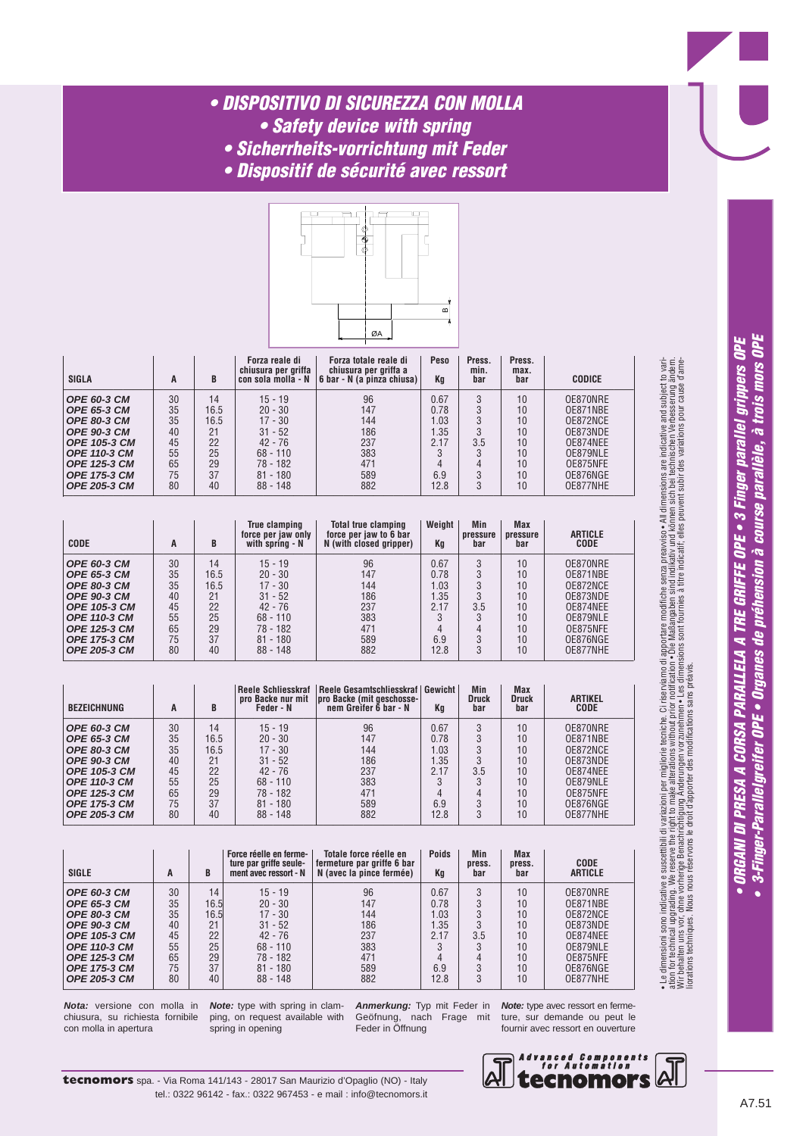## *• DISPOSITIVO DI SICUREZZA CON MOLLA*

- *Safety device with spring*
- *Sicherrheits-vorrichtung mit Feder*
- *Dispositif de sécurité avec ressort*



| <b>SIGLA</b>        | A  | B    | Forza reale di<br>chiusura per griffa<br>con sola molla - N | Forza totale reale di<br>chiusura per griffa a<br>6 bar - N (a pinza chiusa) | Peso<br>Kq | Press.<br>min.<br>bar | Press.<br>max.<br>bar | <b>CODICE</b> |
|---------------------|----|------|-------------------------------------------------------------|------------------------------------------------------------------------------|------------|-----------------------|-----------------------|---------------|
| OPE 60-3 CM         | 30 | 14   | $15 - 19$                                                   | 96                                                                           | 0.67       |                       | 10                    | OE870NRE      |
| OPE 65-3 CM         | 35 | 16.5 | $20 - 30$                                                   | 147                                                                          | 0.78       |                       | 10                    | OE871NBE      |
| OPE 80-3 CM         | 35 | 16.5 | $17 - 30$                                                   | 144                                                                          | 1.03       |                       | 10                    | OE872NCE      |
| OPE 90-3 CM         | 40 | 21   | $31 - 52$                                                   | 186                                                                          | 1.35       |                       | 10                    | OE873NDE      |
| OPE 105-3 CM        | 45 | 22   | $42 - 76$                                                   | 237                                                                          | 2.17       | 3.5                   | 10                    | OE874NEE      |
| <b>OPE 110-3 CM</b> | 55 | 25   | $68 - 110$                                                  | 383                                                                          |            |                       | 10                    | OE879NLE      |
| OPE 125-3 CM        | 65 | 29   | 78 - 182                                                    | 471                                                                          | 4          |                       | 10                    | OE875NFE      |
| <b>OPE 175-3 CM</b> | 75 | 37   | $81 - 180$                                                  | 589                                                                          | 6.9        |                       | 10                    | OE876NGE      |
| <b>OPE 205-3 CM</b> | 80 | 40   | $88 - 148$                                                  | 882                                                                          | 12.8       |                       | 10                    | OE877NHE      |

| <b>CODE</b>         | A  | B    | <b>True clamping</b><br>force per jaw only<br>with spring - N | <b>Total true clamping</b><br>force per jaw to 6 bar<br>N (with closed gripper) | Weight<br>Kq | Min<br>pressure<br>bar | Max<br>pressure<br>bar | <b>ARTICLE</b><br><b>CODE</b> |
|---------------------|----|------|---------------------------------------------------------------|---------------------------------------------------------------------------------|--------------|------------------------|------------------------|-------------------------------|
| <b>OPE 60-3 CM</b>  | 30 | 14   | $15 - 19$                                                     | 96                                                                              | 0.67         | 3                      | 10                     | OE870NRE                      |
| <b>OPE 65-3 CM</b>  | 35 | 16.5 | $20 - 30$                                                     | 147                                                                             | 0.78         | 3                      | 10                     | OE871NBE                      |
| <b>OPE 80-3 CM</b>  | 35 | 16.5 | $17 - 30$                                                     | 144                                                                             | .03          |                        | 10                     | OE872NCE                      |
| <b>OPE 90-3 CM</b>  | 40 | 21   | $31 - 52$                                                     | 186                                                                             | 1.35         | 3                      | 10                     | OE873NDE                      |
| <b>OPE 105-3 CM</b> | 45 | 22   | $42 - 76$                                                     | 237                                                                             | 2.17         | 3.5                    | 10                     | OE874NEE                      |
| <b>OPE 110-3 CM</b> | 55 | 25   | $68 - 110$                                                    | 383                                                                             | o            | 3                      | 10                     | OE879NLE                      |
| <b>OPE 125-3 CM</b> | 65 | 29   | 78 - 182                                                      | 471                                                                             |              |                        | 10                     | OE875NFE                      |
| <b>OPE 175-3 CM</b> | 75 | 37   | $81 - 180$                                                    | 589                                                                             | 6.9          | 3                      | 10                     | OE876NGE                      |
| <b>OPE 205-3 CM</b> | 80 | 40   | $88 - 148$                                                    | 882                                                                             | 12.8         | 3                      | 10                     | OE877NHE                      |

| <b>BEZEICHNUNG</b>  | A  | B    | <b>Reele Schliesskraf</b><br>pro Backe nur mit<br>Feder - N | Reele Gesamtschliesskraf   Gewicht<br><b>oro Backe (mit geschosse-</b><br>nem Greifer 6 bar - N | Ka   | Min<br><b>Druck</b><br>bar | <b>Max</b><br><b>Druck</b><br>bar | <b>ARTIKEL</b><br><b>CODE</b> |
|---------------------|----|------|-------------------------------------------------------------|-------------------------------------------------------------------------------------------------|------|----------------------------|-----------------------------------|-------------------------------|
| <b>OPE 60-3 CM</b>  | 30 | 14   | $15 - 19$                                                   | 96                                                                                              | 0.67 |                            | 10                                | OE870NRE                      |
| <b>OPE 65-3 CM</b>  | 35 | 16.5 | $20 - 30$                                                   | 147                                                                                             | 0.78 |                            | 10                                | OE871NBE                      |
| <b>OPE 80-3 CM</b>  | 35 | 16.5 | $17 - 30$                                                   | 144                                                                                             | 1.03 | 3                          | 10                                | OE872NCE                      |
| <b>OPE 90-3 CM</b>  | 40 | 21   | $31 - 52$                                                   | 186                                                                                             | 1.35 |                            | 10                                | OE873NDE                      |
| <b>OPE 105-3 CM</b> | 45 | 22   | $42 - 76$                                                   | 237                                                                                             | 2.17 | 3.5                        | 10                                | OE874NEE                      |
| <b>OPE 110-3 CM</b> | 55 | 25   | $68 - 110$                                                  | 383                                                                                             |      | 3                          | 10                                | OE879NLE                      |
| <b>OPE 125-3 CM</b> | 65 | 29   | 78 - 182                                                    | 471                                                                                             |      | 4                          | 10                                | OE875NFE                      |
| <b>OPE 175-3 CM</b> | 75 | 37   | $81 - 180$                                                  | 589                                                                                             | 6.9  | 3                          | 10                                | OE876NGE                      |
| <b>OPE 205-3 CM</b> | 80 | 40   | $88 - 148$                                                  | 882                                                                                             | 12.8 | 3                          | 10                                | OE877NHE                      |

| <b>SIGLE</b>       | A  | B     | Force réelle en ferme-<br>ture par griffe seule-<br>ment avec ressort - N | Totale force réelle en<br>fermeture par griffe 6 bar<br>N (avec la pince fermée) | <b>Poids</b><br>Kq | <b>Min</b><br>press.<br>bar | <b>Max</b><br>press.<br>bar | <b>CODE</b><br><b>ARTICLE</b> |
|--------------------|----|-------|---------------------------------------------------------------------------|----------------------------------------------------------------------------------|--------------------|-----------------------------|-----------------------------|-------------------------------|
| <b>OPE 60-3 CM</b> | 30 | 14    | $15 - 19$                                                                 | 96                                                                               | 0.67               |                             | 10                          | OE870NRE                      |
| OPE 65-3 CM        | 35 | 16.5  | $20 - 30$                                                                 | 147                                                                              | 0.78               |                             | 10                          | OE871NBE                      |
| <b>OPE 80-3 CM</b> | 35 | 16.51 | $17 - 30$                                                                 | 144                                                                              | 1.03               |                             | 10                          | OE872NCE                      |
| OPE 90-3 CM        | 40 | 21    | $31 - 52$                                                                 | 186                                                                              | 1.35               |                             | 10                          | OE873NDE                      |
| OPE 105-3 CM       | 45 | 22    | $42 - 76$                                                                 | 237                                                                              | 2.17               | 3.5                         | 10                          | OE874NEE                      |
| OPE 110-3 CM       | 55 | 25    | $68 - 110$                                                                | 383                                                                              |                    |                             | 10                          | OE879NLE                      |
| OPE 125-3 CM       | 65 | 29    | 78 - 182                                                                  | 471                                                                              | 4                  |                             | 10                          | OE875NFE                      |
| OPE 175-3 CM       | 75 | 37    | $81 - 180$                                                                | 589                                                                              | 6.9                |                             | 10                          | OE876NGE                      |
| OPE 205-3 CM       | 80 | 40    | $88 - 148$                                                                | 882                                                                              | 12.8               |                             | 10 <sup>°</sup>             | OE877NHE                      |

**Nota:** versione con molla in chiusura, su richiesta fornibile con molla in apertura

**Note:** type with spring in clamping, on request available with spring in opening

**Anmerkung:** Typ mit Feder in Geöfnung, nach Frage mit Feder in Öffnung

**Note:** type avec ressort en fermeture, sur demande ou peut le fournir avec ressort en ouverture



• Le dimensioni sono indicative e suscettibili di variazioni per migliorie tecniche. Ci riserviamo di apportare modifiche senza preavviso • All dimensions are indicative and subject to variation for technical upgrading. We reserve the right to make alterations without prior notification • Die Maßangaben sind indikativ und können sin bei technischen Verbesserung ändern.<br>Wir behalten uns vor, ohne vorherige Be

• Le dimensioni sono indicative e suscettbili di variazioni per migliorie tecniche. Ci riserviamo di apportare modifiche senza preavviso• All dimensions are indicative and subject to vari-<br>ation for technical upgrading. We

liorations techniques. Nous nous réservons le droit d'apporter des modifications sans préavis.

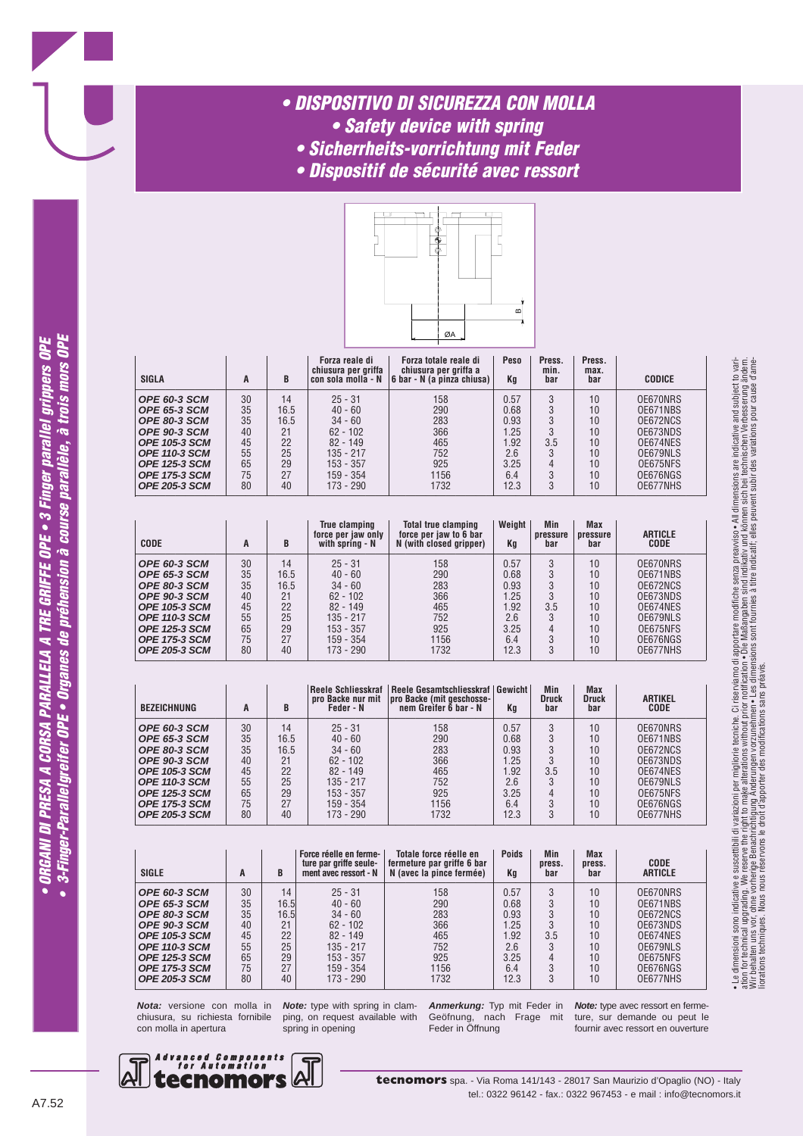### *• DISPOSITIVO DI SICUREZZA CON MOLLA • Safety device with spring*

- 
- *Sicherrheits-vorrichtung mit Feder*
- *Dispositif de sécurité avec ressort*



| <b>SIGLA</b>         | A  | B    | Forza reale di<br>chiusura per griffa<br>con sola molla - N | Forza totale reale di<br>chiusura per griffa a<br>6 bar - N (a pinza chiusa) | Peso<br>Κq | Press.<br>min.<br>bar | Press.<br>max.<br>bar | <b>CODICE</b> |
|----------------------|----|------|-------------------------------------------------------------|------------------------------------------------------------------------------|------------|-----------------------|-----------------------|---------------|
| OPE 60-3 SCM         | 30 | 14   | $25 - 31$                                                   | 158                                                                          | 0.57       | 3                     | 10                    | OE670NRS      |
| <b>OPE 65-3 SCM</b>  | 35 | 16.5 | $40 - 60$                                                   | 290                                                                          | 0.68       |                       | 10                    | OE671NBS      |
| OPE 80-3 SCM         | 35 | 16.5 | $34 - 60$                                                   | 283                                                                          | 0.93       |                       | 10                    | OE672NCS      |
| OPE 90-3 SCM         | 40 | 21   | $62 - 102$                                                  | 366                                                                          | .25        |                       | 10                    | OE673NDS      |
| <b>OPE 105-3 SCM</b> | 45 | 22   | $82 - 149$                                                  | 465                                                                          | .92        | 3.5                   | 10                    | OE674NES      |
| <b>OPE 110-3 SCM</b> | 55 | 25   | 135 - 217                                                   | 752                                                                          | 2.6        |                       | 10                    | OE679NLS      |
| <b>OPE 125-3 SCM</b> | 65 | 29   | $153 - 357$                                                 | 925                                                                          | 3.25       | 4                     | 10                    | OE675NFS      |
| <b>OPE 175-3 SCM</b> | 75 | 27   | $159 - 354$                                                 | 1156                                                                         | 6.4        |                       | 10                    | OE676NGS      |
| <b>OPE 205-3 SCM</b> | 80 | 40   | $173 - 290$                                                 | 1732                                                                         | 12.3       | 3                     | 10                    | OE677NHS      |

| <b>CODE</b>          | A  | B    | <b>True clamping</b><br>force per jaw only<br>with spring - N | <b>Total true clamping</b><br>force per jaw to 6 bar<br>N (with closed gripper) | Weight<br>Kq | <b>Min</b><br>pressure<br>bar | <b>Max</b><br>pressure<br>bar | <b>ARTICLE</b><br>CODE |
|----------------------|----|------|---------------------------------------------------------------|---------------------------------------------------------------------------------|--------------|-------------------------------|-------------------------------|------------------------|
| OPE 60-3 SCM         | 30 | 14   | $25 - 31$                                                     | 158                                                                             | 0.57         | 3                             | 10                            | OE670NRS               |
| <b>OPE 65-3 SCM</b>  | 35 | 16.5 | $40 - 60$                                                     | 290                                                                             | 0.68         | 3                             | 10                            | OE671NBS               |
| OPE 80-3 SCM         | 35 | 16.5 | $34 - 60$                                                     | 283                                                                             | 0.93         | 3                             | 10                            | OE672NCS               |
| OPE 90-3 SCM         | 40 | 21   | $62 - 102$                                                    | 366                                                                             | 1.25         | 3                             | 10                            | OE673NDS               |
| <b>OPE 105-3 SCM</b> | 45 | 22   | $82 - 149$                                                    | 465                                                                             | 1.92         | 3.5                           | 10                            | OE674NES               |
| <b>OPE 110-3 SCM</b> | 55 | 25   | 135 - 217                                                     | 752                                                                             | 2.6          | 3                             | 10                            | OE679NLS               |
| <b>OPE 125-3 SCM</b> | 65 | 29   | 153 - 357                                                     | 925                                                                             | 3.25         | 4                             | 10                            | OE675NFS               |
| <b>OPE 175-3 SCM</b> | 75 | 27   | 159 - 354                                                     | 1156                                                                            | 6.4          | 3                             | 10                            | OE676NGS               |
| <b>OPE 205-3 SCM</b> | 80 | 40   | 173 - 290                                                     | 1732                                                                            | 12.3         | 3                             | 10                            | OE677NHS               |

| <b>BEZEICHNUNG</b>                                                                                                                                                         | A                                            | B                                                | Reele Schliesskraf<br>pro Backe nur mit<br>Feder - N                                                         | Reele Gesamtschliesskraf   Gewicht  <br> pro Backe (mit geschosse-<br>nem Greifer 6 bar - N | Kq                                                         | Min<br><b>Druck</b><br>bar             | <b>Max</b><br><b>Druck</b><br>bar            | <b>ARTIKEL</b><br><b>CODE</b>                                                                |
|----------------------------------------------------------------------------------------------------------------------------------------------------------------------------|----------------------------------------------|--------------------------------------------------|--------------------------------------------------------------------------------------------------------------|---------------------------------------------------------------------------------------------|------------------------------------------------------------|----------------------------------------|----------------------------------------------|----------------------------------------------------------------------------------------------|
| OPE 60-3 SCM<br><b>OPE 65-3 SCM</b><br>OPE 80-3 SCM<br><b>OPE 90-3 SCM</b><br><b>OPE 105-3 SCM</b><br><b>OPE 110-3 SCM</b><br><b>OPE 125-3 SCM</b><br><b>OPE 175-3 SCM</b> | 30<br>35<br>35<br>40<br>45<br>55<br>65<br>75 | 14<br>16.5<br>16.5<br>21<br>22<br>25<br>29<br>27 | $25 - 31$<br>$40 - 60$<br>$34 - 60$<br>$62 - 102$<br>$82 - 149$<br>$135 - 217$<br>$153 - 357$<br>$159 - 354$ | 158<br>290<br>283<br>366<br>465<br>752<br>925<br>1156                                       | 0.57<br>0.68<br>0.93<br>1.25<br>l.92<br>2.6<br>3.25<br>6.4 | 3<br>3<br>3<br>3<br>3.5<br>3<br>4<br>3 | 10<br>10<br>10<br>10<br>10<br>10<br>10<br>10 | OE670NRS<br>OE671NBS<br>OE672NCS<br>OE673NDS<br>OE674NES<br>OE679NLS<br>OE675NFS<br>OE676NGS |
| <b>OPE 205-3 SCM</b>                                                                                                                                                       | 80                                           | 40                                               | $173 - 290$                                                                                                  | 1732                                                                                        | 12.3                                                       | 3                                      | 10                                           | OE677NHS                                                                                     |

| <b>SIGLE</b>         | A  | B    | Force réelle en ferme-<br>ture par griffe seule-<br>ment avec ressort - N | Totale force réelle en<br>fermeture par griffe 6 bar<br>N (avec la pince fermée) | <b>Poids</b><br>Κq | Min<br>press.<br>bar | <b>Max</b><br>press.<br>bar | CODE<br><b>ARTICLE</b> |
|----------------------|----|------|---------------------------------------------------------------------------|----------------------------------------------------------------------------------|--------------------|----------------------|-----------------------------|------------------------|
| OPE 60-3 SCM         | 30 | 14   | $25 - 31$                                                                 | 158                                                                              | 0.57               | 3                    | 10                          | OE670NRS               |
| <b>OPE 65-3 SCM</b>  | 35 | 16.5 | $40 - 60$                                                                 | 290                                                                              | 0.68               | 3                    | 10                          | OE671NBS               |
| OPE 80-3 SCM         | 35 | 16.5 | $34 - 60$                                                                 | 283                                                                              | 0.93               | 3                    | 10                          | OE672NCS               |
| <b>OPE 90-3 SCM</b>  | 40 | 21   | $62 - 102$                                                                | 366                                                                              | 1.25               | 3                    | 10                          | OE673NDS               |
| <b>OPE 105-3 SCM</b> | 45 | 22   | $82 - 149$                                                                | 465                                                                              | .92                | 3.5                  | 10                          | OE674NES               |
| <b>OPE 110-3 SCM</b> | 55 | 25   | 135 - 217                                                                 | 752                                                                              | 2.6                | 3                    | 10                          | OE679NLS               |
| <b>OPE 125-3 SCM</b> | 65 | 29   | 153 - 357                                                                 | 925                                                                              | 3.25               | 4                    | 10                          | OE675NFS               |
| <b>OPE 175-3 SCM</b> | 75 | 27   | 159 - 354                                                                 | 1156                                                                             | 6.4                | 3                    | 10                          | OE676NGS               |
| <b>OPE 205-3 SCM</b> | 80 | 40   | 173 - 290                                                                 | 1732                                                                             | 12.3               | 3                    | 10                          | OE677NHS               |

**Nota:** versione con molla in chiusura, su richiesta fornibile con molla in apertura

**Note:** type with spring in clamping, on request available with spring in opening

**Anmerkung:** Typ mit Feder in Geöfnung, nach Frage mit Feder in Öffnung

**Note:** type avec ressort en fermeture, sur demande ou peut le fournir avec ressort en ouverture

• Le dimensioni sono indicative e suscettibili di variazioni per migliorie tecniche. Ci riserviamo di apportare modifiche senza preavviso • All dimensions are indicative and subject to variation for technical upgrading. We reserve the right to make alterations without prior notification • Die Maßangaben sind indikativ und können sin bei technischen Verbesserung ändern.<br>Wir behalten uns vor, ohne vorherige Be

• Le dimensioni sono indicative e suscettbili di variazioni per miglione teoriche. Ci riserviano di apportare modifiche senza preavviso• All dimensions are indicative and subject to vari-<br>ation for technical upgrading. We

liorations techniques. Nous nous réservons le droit d'apporter des modifications sans préavis.

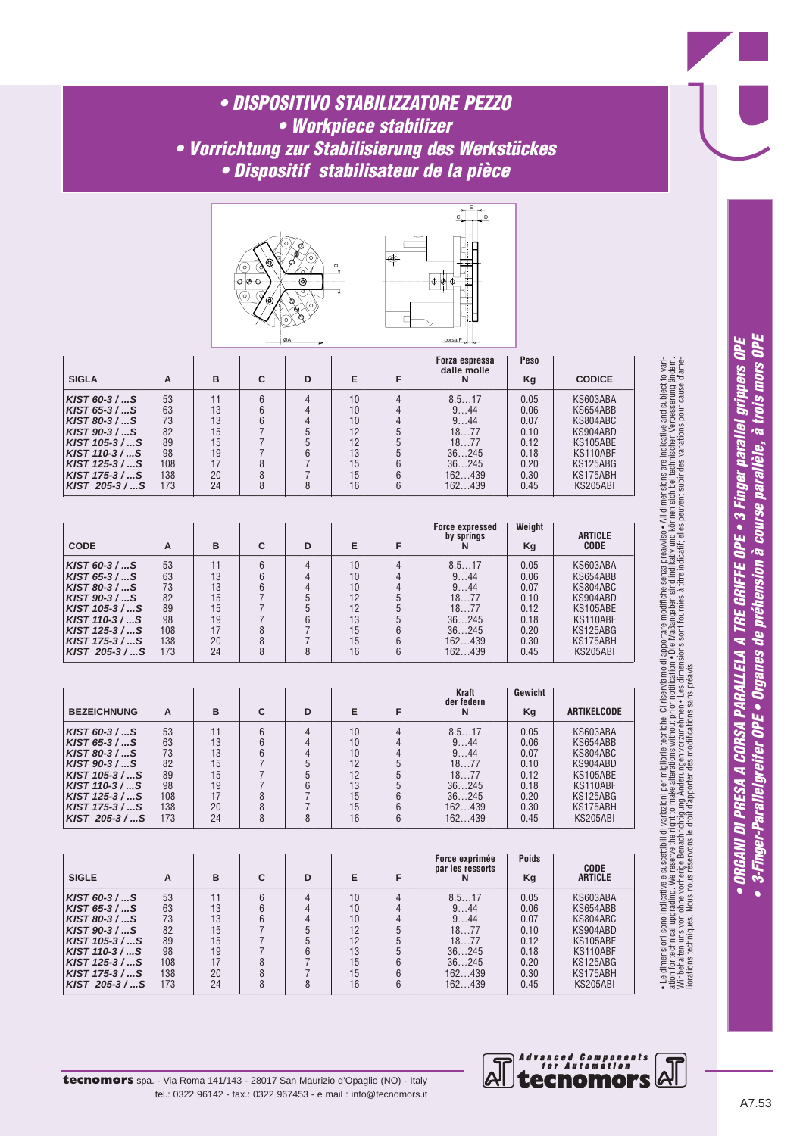### *• DISPOSITIVO STABILIZZATORE PEZZO • Workpiece stabilizer • Vorrichtung zur Stabilisierung des Werkstückes • Dispositif stabilisateur de la pièce*

| ۰  | œ |
|----|---|
| ØA |   |



| <b>SIGLA</b>   | A   | в  | С | D | Е  |   | Forza espressa<br>dalle molle<br>N | <b>Peso</b><br>Kg | <b>CODICE</b> |
|----------------|-----|----|---|---|----|---|------------------------------------|-------------------|---------------|
| $KIST 60-3/S$  | 53  | 11 | 6 |   | 10 |   | 8.517                              | 0.05              | KS603ABA      |
| $KIST 65-3/S$  | 63  | 13 |   |   | 10 |   | 944                                | 0.06              | KS654ABB      |
| $KIST 80-3/S$  | 73  | 13 | 6 |   | 10 |   | 944                                | 0.07              | KS804ABC      |
| KIST 90-3 / S  | 82  | 15 |   |   | 12 |   | 1877                               | 0.10              | KS904ABD      |
| $KIST 105-3/S$ | 89  | 15 |   |   | 12 |   | 1877                               | 0.12              | KS105ABE      |
| KIST 110-3 / S | 98  | 19 |   | հ | 13 |   | 36245                              | 0.18              | KS110ABF      |
| KIST 125-3 / S | 108 | 17 |   |   | 15 |   | 36245                              | 0.20              | KS125ABG      |
| KIST 175-3 / S | 138 | 20 |   |   | 15 |   | 162439                             | 0.30              | KS175ABH      |
| KIST 205-3 / S | 173 | 24 |   |   | 16 | հ | 162439                             | 0.45              | KS205ABI      |

| <b>CODE</b>                                                                                                                                                                     | A                                                     | в                                                  | C      | D | Е                                                  | F      | <b>Force expressed</b><br>by springs                                      | Weight<br>Kg                                                         | <b>ARTICLE</b><br><b>CODE</b>                                                                            |
|---------------------------------------------------------------------------------------------------------------------------------------------------------------------------------|-------------------------------------------------------|----------------------------------------------------|--------|---|----------------------------------------------------|--------|---------------------------------------------------------------------------|----------------------------------------------------------------------|----------------------------------------------------------------------------------------------------------|
| $KIST 60-3/S$<br>$KIST 65-3 /  S$<br>$KIST 80-3 /  S$<br>$KIST 90-3 /  S$<br>KIST $105-3$ / S<br>$KIST$ 110-3 /  S<br>$KIST$ 125-3 /  S<br>$KIST 175-3 /  S$<br>KIST 205-3/ $S$ | 53<br>63<br>73<br>82<br>89<br>98<br>108<br>138<br>173 | 11<br>13<br>13<br>15<br>15<br>19<br>17<br>20<br>24 | 6<br>8 |   | 10<br>10<br>10<br>12<br>12<br>13<br>15<br>15<br>16 | 6<br>6 | 8.517<br>944<br>944<br>1877<br>1877<br>36245<br>36245<br>162439<br>162439 | 0.05<br>0.06<br>0.07<br>0.10<br>0.12<br>0.18<br>0.20<br>0.30<br>0.45 | KS603ABA<br>KS654ABB<br>KS804ABC<br>KS904ABD<br>KS105ABE<br>KS110ABF<br>KS125ABG<br>KS175ABH<br>KS205ABI |

| <b>BEZEICHNUNG</b>                                                                                                                                                         | A                                                     | в                                                  | С | D | Е                                                  |                     | Kraft<br>der federn<br>N                                                  | Gewicht<br>Kg                                                        | ARTIKELCODE                                                                                              |
|----------------------------------------------------------------------------------------------------------------------------------------------------------------------------|-------------------------------------------------------|----------------------------------------------------|---|---|----------------------------------------------------|---------------------|---------------------------------------------------------------------------|----------------------------------------------------------------------|----------------------------------------------------------------------------------------------------------|
| $KIST 60-3/S$<br>KIST 65-3 $/  S$<br>$KIST 80-3 /  S$<br>$KIST 90-3/S$<br>$KIST 105-3/S$<br>$KIST$ 110-3 /  S<br>$KIST$ 125-3 /  S<br>$KIST 175-3 /  S$<br>KIST 205-3/ $S$ | 53<br>63<br>73<br>82<br>89<br>98<br>108<br>138<br>173 | 11<br>13<br>13<br>15<br>15<br>19<br>17<br>20<br>24 | ጸ |   | 10<br>10<br>10<br>12<br>12<br>13<br>15<br>15<br>16 | $\Lambda$<br>6<br>6 | 8.517<br>944<br>944<br>1877<br>1877<br>36245<br>36245<br>162439<br>162439 | 0.05<br>0.06<br>0.07<br>0.10<br>0.12<br>0.18<br>0.20<br>0.30<br>0.45 | KS603ABA<br>KS654ABB<br>KS804ABC<br>KS904ABD<br>KS105ABE<br>KS110ABF<br>KS125ABG<br>KS175ABH<br>KS205ABI |

| <b>SIGLE</b>   | A   | в  | С | D | Е  | Force exprimée<br>par les ressorts<br>N | <b>Poids</b><br>Kg | <b>CODE</b><br><b>ARTICLE</b> |
|----------------|-----|----|---|---|----|-----------------------------------------|--------------------|-------------------------------|
| $KIST 60-3/S$  | 53  |    |   |   | 10 | 8.517                                   | 0.05               | KS603ABA                      |
| $KIST 65-3/S$  | 63  | 13 |   |   | 10 | 944                                     | 0.06               | KS654ABB                      |
| $KIST 80-3/S$  | 73  | 13 |   |   | 10 | 944                                     | 0.07               | KS804ABC                      |
| KIST 90-3 / S  | 82  | 15 |   |   | 12 | 1877                                    | 0.10               | KS904ABD                      |
| KIST 105-3 / S | 89  | 15 |   |   | 12 | 1877                                    | 0.12               | KS105ABE                      |
| KIST 110-3 / S | 98  | 19 |   |   | 13 | 36245                                   | 0.18               | KS110ABF                      |
| KIST 125-3 / S | 108 | 17 |   |   | 15 | 36245                                   | 0.20               | KS125ABG                      |
| KIST 175-3 / S | 138 | 20 |   |   | 15 | 162439                                  | 0.30               | KS175ABH                      |
| KIST 205-3 / S | 173 | 24 | 8 |   | 16 | 162439                                  | 0.45               | KS205ABI                      |



• 3-Finger-Parallelgreifer OPE • Organes de préhension à course parallèle, à trois mors OPE • ORGANI DI PRESA A CORSA PARALLELA A TRE GRIFFE OPE • 3 Finger parallel grippers OPE

*Advanced Components for Automation*  $\overline{\mathsf{A}^{\mathsf{I}}}$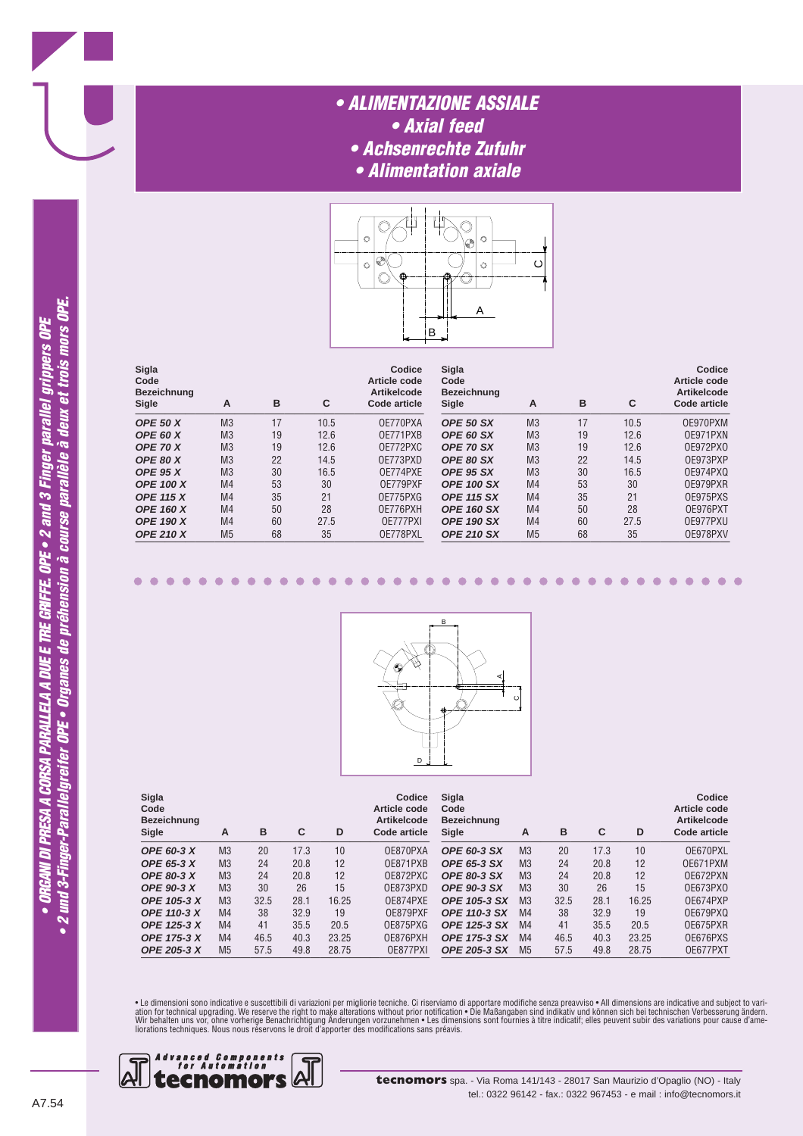### *• ALIMENTAZIONE ASSIALE • Axial feed • Achsenrechte Zufuhr • Alimentation axiale*



| Sigla<br>Code<br><b>Bezeichnung</b><br>Sigle | Α              | в  | C    | Codice<br>Article code<br><b>Artikelcode</b><br>Code article | Sigla<br>Code<br><b>Bezeichnung</b><br>Sigle | A              | в  | C    | Codice<br>Article code<br><b>Artikelcode</b><br><b>Code article</b> |
|----------------------------------------------|----------------|----|------|--------------------------------------------------------------|----------------------------------------------|----------------|----|------|---------------------------------------------------------------------|
| <b>OPE 50 X</b>                              | M <sub>3</sub> | 17 | 10.5 | OE770PXA                                                     | OPE 50 SX                                    | M <sub>3</sub> | 17 | 10.5 | OE970PXM                                                            |
| <b>OPE 60 X</b>                              | M <sub>3</sub> | 19 | 12.6 | OE771PXB                                                     | OPE 60 SX                                    | M <sub>3</sub> | 19 | 12.6 | OE971PXN                                                            |
| <b>OPE 70 X</b>                              | M <sub>3</sub> | 19 | 12.6 | OE772PXC                                                     | <b>OPE 70 SX</b>                             | M <sub>3</sub> | 19 | 12.6 | 0E972PX0                                                            |
| <b>OPE 80 X</b>                              | M <sub>3</sub> | 22 | 14.5 | OE773PXD                                                     | OPE 80 SX                                    | M <sub>3</sub> | 22 | 14.5 | OE973PXP                                                            |
| <b>OPE 95 X</b>                              | M <sub>3</sub> | 30 | 16.5 | OE774PXE                                                     | OPE 95 SX                                    | M <sub>3</sub> | 30 | 16.5 | OE974PXQ                                                            |
| <b>OPE 100 X</b>                             | M <sub>4</sub> | 53 | 30   | OF779PXF                                                     | <b>OPE 100 SX</b>                            | M <sub>4</sub> | 53 | 30   | OE979PXR                                                            |
| <b>OPE 115 X</b>                             | M <sub>4</sub> | 35 | 21   | OE775PXG                                                     | <b>OPE 115 SX</b>                            | M <sub>4</sub> | 35 | 21   | OE975PXS                                                            |
| <b>OPE 160 X</b>                             | M <sub>4</sub> | 50 | 28   | OE776PXH                                                     | <b>OPE 160 SX</b>                            | M <sub>4</sub> | 50 | 28   | OE976PXT                                                            |
| <b>OPE 190 X</b>                             | M <sub>4</sub> | 60 | 27.5 | OE777PXI                                                     | <b>OPE 190 SX</b>                            | M <sub>4</sub> | 60 | 27.5 | OE977PXU                                                            |
| <b>OPE 210 X</b>                             | M <sub>5</sub> | 68 | 35   | OE778PXL                                                     | <b>OPE 210 SX</b>                            | M <sub>5</sub> | 68 | 35   | OE978PXV                                                            |



| Sigla<br>Code<br><b>Bezeichnung</b><br>Sigle | А              | в    | C    | D     | Codice<br>Article code<br><b>Artikelcode</b><br>Code article | Sigla<br>Code<br><b>Bezeichnung</b><br>Sigle | A              | в    | С    | D     | Codice<br>Article code<br><b>Artikelcode</b><br>Code article |
|----------------------------------------------|----------------|------|------|-------|--------------------------------------------------------------|----------------------------------------------|----------------|------|------|-------|--------------------------------------------------------------|
| <b>OPE 60-3 X</b>                            | M <sub>3</sub> | 20   | 17.3 | 10    | OE870PXA                                                     | <b>OPE 60-3 SX</b>                           | M <sub>3</sub> | 20   | 17.3 | 10    | OE670PXL                                                     |
| <b>OPE 65-3 X</b>                            | M <sub>3</sub> | 24   | 20.8 | 12    | OF871PXB                                                     | <b>OPE 65-3 SX</b>                           | M <sub>3</sub> | 24   | 20.8 | 12    | OE671PXM                                                     |
| <b>OPE 80-3 X</b>                            | M <sub>3</sub> | 24   | 20.8 | 12    | OE872PXC                                                     | <b>OPE 80-3 SX</b>                           | M <sub>3</sub> | 24   | 20.8 | 12    | OE672PXN                                                     |
| <b>OPE 90-3 X</b>                            | M <sub>3</sub> | 30   | 26   | 15    | OE873PXD                                                     | <b>OPE 90-3 SX</b>                           | M <sub>3</sub> | 30   | 26   | 15    | 0E673PX0                                                     |
| OPE 105-3 X                                  | M <sub>3</sub> | 32.5 | 28.1 | 16.25 | OE874PXE                                                     | <b>OPE 105-3 SX</b>                          | M <sub>3</sub> | 32.5 | 28.1 | 16.25 | OE674PXP                                                     |
| <b>OPE 110-3 X</b>                           | M <sub>4</sub> | 38   | 32.9 | 19    | OE879PXF                                                     | <b>OPE 110-3 SX</b>                          | M <sub>4</sub> | 38   | 32.9 | 19    | OE679PXQ                                                     |
| <b>OPE 125-3 X</b>                           | M <sub>4</sub> | 41   | 35.5 | 20.5  | OE875PXG                                                     | <b>OPE 125-3 SX</b>                          | M <sub>4</sub> | 41   | 35.5 | 20.5  | OE675PXR                                                     |
| <b>OPE 175-3 X</b>                           | M <sub>4</sub> | 46.5 | 40.3 | 23.25 | OE876PXH                                                     | <b>OPE 175-3 SX</b>                          | M <sub>4</sub> | 46.5 | 40.3 | 23.25 | OE676PXS                                                     |
| <b>OPE 205-3 X</b>                           | M <sub>5</sub> | 57.5 | 49.8 | 28.75 | OE877PXI                                                     | <b>OPE 205-3 SX</b>                          | M <sub>5</sub> | 57.5 | 49.8 | 28.75 | OE677PXT                                                     |

• Le dimensioni sono indicative e suscettibili di variazioni per migliorie tecniche. Ci riserviamo di apportare modifiche senza preavviso • All dimensions are indicative and subject to vari-<br>ation for technical upgrading.



 $\bullet$ 

 $\bullet$